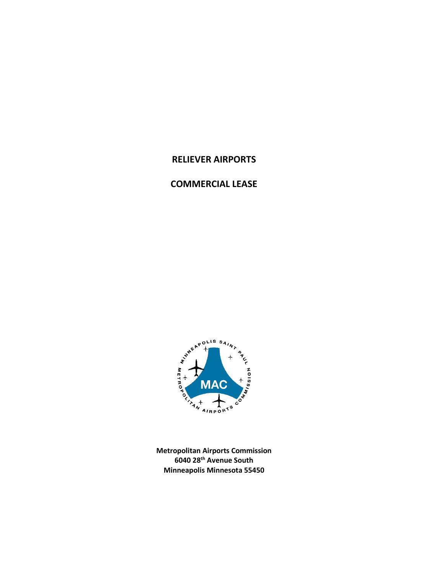# **RELIEVER AIRPORTS**

# **COMMERCIAL LEASE**



**Metropolitan Airports Commission 6040 28th Avenue South Minneapolis Minnesota 55450**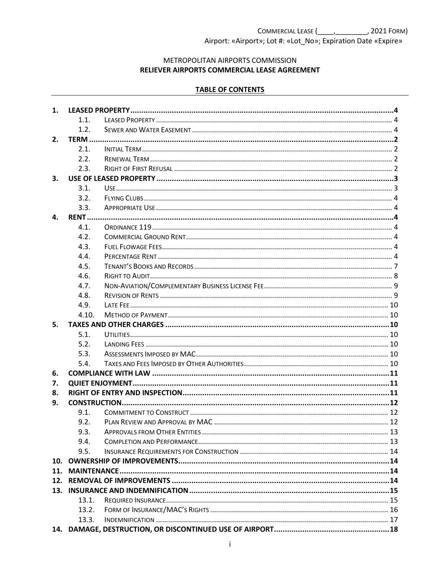METROPOLITAN AIRPORTS COMMISSION RELIEVER AIRPORTS COMMERCIAL LEASE AGREEMENT

### **TABLE OF CONTENTS**

| 1.         |       |  |  |
|------------|-------|--|--|
|            | 1.1.  |  |  |
|            | 1.2.  |  |  |
| 2.         |       |  |  |
|            | 2.1.  |  |  |
|            | 2.2.  |  |  |
|            | 2.3.  |  |  |
| З.         |       |  |  |
|            | 3.1.  |  |  |
|            | 3.2.  |  |  |
|            | 3.3.  |  |  |
| 4.         |       |  |  |
|            | 4.1.  |  |  |
|            | 4.2.  |  |  |
|            | 4.3.  |  |  |
|            | 4.4.  |  |  |
|            | 4.5.  |  |  |
|            | 4.6.  |  |  |
|            | 4.7.  |  |  |
|            | 4.8.  |  |  |
|            | 4.9.  |  |  |
|            | 4.10. |  |  |
| 5.         |       |  |  |
|            | 5.1.  |  |  |
|            | 5.2.  |  |  |
|            | 5.3.  |  |  |
|            | 5.4.  |  |  |
| 6.         |       |  |  |
| 7.         |       |  |  |
| 8.         |       |  |  |
| 9.         |       |  |  |
|            | 9.1.  |  |  |
|            | 9.2.  |  |  |
|            | 9.3.  |  |  |
|            | 9.4.  |  |  |
|            | 9.5.  |  |  |
| 10.        |       |  |  |
| 11.<br>12. |       |  |  |
|            |       |  |  |
| 13.        | 13.1. |  |  |
|            | 13.2. |  |  |
|            | 13.3. |  |  |
|            |       |  |  |
|            |       |  |  |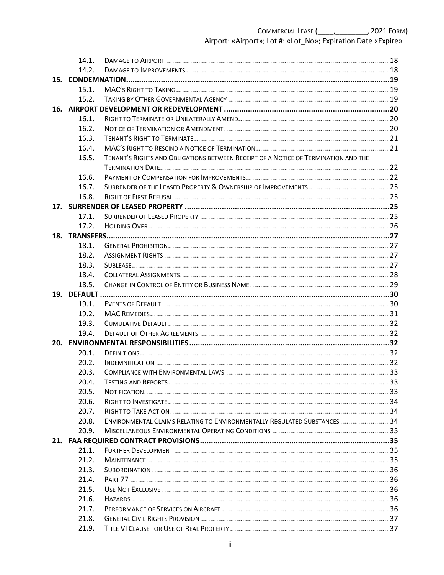|     | 14.1. |                                                                                    |  |
|-----|-------|------------------------------------------------------------------------------------|--|
|     | 14.2. |                                                                                    |  |
|     |       |                                                                                    |  |
|     | 15.1. |                                                                                    |  |
|     | 15.2. |                                                                                    |  |
|     |       |                                                                                    |  |
|     | 16.1. |                                                                                    |  |
|     | 16.2. |                                                                                    |  |
|     | 16.3. |                                                                                    |  |
|     | 16.4. |                                                                                    |  |
|     | 16.5. | TENANT'S RIGHTS AND OBLIGATIONS BETWEEN RECEIPT OF A NOTICE OF TERMINATION AND THE |  |
|     |       |                                                                                    |  |
|     | 16.6. |                                                                                    |  |
|     | 16.7. |                                                                                    |  |
|     | 16.8. |                                                                                    |  |
|     |       |                                                                                    |  |
|     | 17.1. |                                                                                    |  |
|     | 17.2. |                                                                                    |  |
|     |       |                                                                                    |  |
|     | 18.1. |                                                                                    |  |
|     | 18.2. |                                                                                    |  |
|     | 18.3. |                                                                                    |  |
|     | 18.4. |                                                                                    |  |
|     | 18.5. |                                                                                    |  |
|     |       |                                                                                    |  |
|     | 19.1. |                                                                                    |  |
|     | 19.2. |                                                                                    |  |
|     | 19.3. |                                                                                    |  |
|     | 19.4. |                                                                                    |  |
| 20. |       |                                                                                    |  |
|     | 20.1. |                                                                                    |  |
|     | 20.2. |                                                                                    |  |
|     | 20.3. |                                                                                    |  |
|     | 20.4. |                                                                                    |  |
|     | 20.5. |                                                                                    |  |
|     | 20.6. |                                                                                    |  |
|     | 20.7. |                                                                                    |  |
|     | 20.8. | ENVIRONMENTAL CLAIMS RELATING TO ENVIRONMENTALLY REGULATED SUBSTANCES 34           |  |
|     | 20.9. |                                                                                    |  |
|     |       |                                                                                    |  |
|     | 21.1. |                                                                                    |  |
|     | 21.2. |                                                                                    |  |
|     | 21.3. |                                                                                    |  |
|     | 21.4. |                                                                                    |  |
|     | 21.5. |                                                                                    |  |
|     | 21.6. |                                                                                    |  |
|     | 21.7. |                                                                                    |  |
|     | 21.8. |                                                                                    |  |
|     | 21.9. |                                                                                    |  |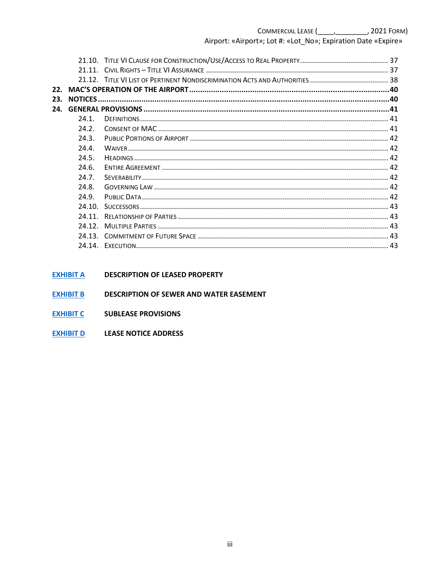|     | 21.10. |    |
|-----|--------|----|
|     | 21.11  |    |
|     |        |    |
| 22. |        |    |
| 23. |        |    |
| 24. |        |    |
|     | 74.1   |    |
|     | 24.2.  |    |
|     | 24.3.  |    |
|     | 74.4   |    |
|     | 24.5.  |    |
|     | 24.6.  |    |
|     | 24.7.  |    |
|     | 24.8.  |    |
|     | 24.9.  |    |
|     | 24.10. |    |
|     | 24.11. |    |
|     | 24.12  |    |
|     | 24.13. |    |
|     | 24 14  | 43 |
|     |        |    |

#### **EXHIBIT A DESCRIPTION OF LEASED PROPERTY**

- **EXHIBIT B** DESCRIPTION OF SEWER AND WATER EASEMENT
- EXHIBIT C SUBLEASE PROVISIONS
- **EXHIBIT D** LEASE NOTICE ADDRESS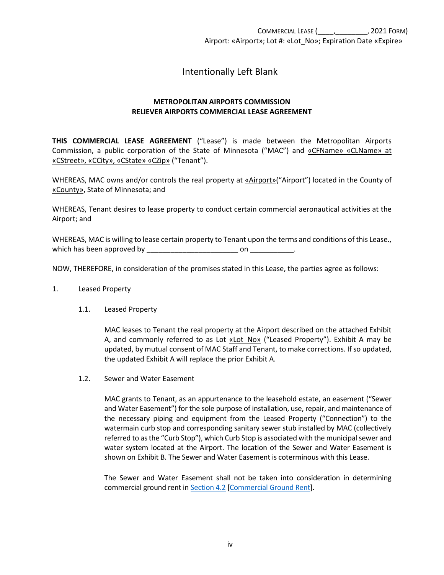# Intentionally Left Blank

### **METROPOLITAN AIRPORTS COMMISSION RELIEVER AIRPORTS COMMERCIAL LEASE AGREEMENT**

**THIS COMMERCIAL LEASE AGREEMENT** ("Lease") is made between the Metropolitan Airports Commission, a public corporation of the State of Minnesota ("MAC") and «CFName» «CLName» at «CStreet», «CCity», «CState» «CZip» ("Tenant").

WHEREAS, MAC owns and/or controls the real property at «Airport»("Airport") located in the County of «County», State of Minnesota; and

WHEREAS, Tenant desires to lease property to conduct certain commercial aeronautical activities at the Airport; and

WHEREAS, MAC is willing to lease certain property to Tenant upon the terms and conditions of this Lease., which has been approved by \_\_\_\_\_\_\_\_\_\_\_\_\_\_\_\_\_\_\_\_\_\_\_ on \_\_\_\_\_\_\_\_\_\_\_.

NOW, THEREFORE, in consideration of the promises stated in this Lease, the parties agree as follows:

#### <span id="page-4-1"></span><span id="page-4-0"></span>1. Leased Property

#### 1.1. Leased Property

MAC leases to Tenant the real property at the Airport described on the attached Exhibit A, and commonly referred to as Lot «Lot No» ("Leased Property"). Exhibit A may be updated, by mutual consent of MAC Staff and Tenant, to make corrections. If so updated, the updated Exhibit A will replace the prior Exhibit A.

<span id="page-4-2"></span>1.2. Sewer and Water Easement

MAC grants to Tenant, as an appurtenance to the leasehold estate, an easement ("Sewer and Water Easement") for the sole purpose of installation, use, repair, and maintenance of the necessary piping and equipment from the Leased Property ("Connection") to the watermain curb stop and corresponding sanitary sewer stub installed by MAC (collectively referred to as the "Curb Stop"), which Curb Stop is associated with the municipal sewer and water system located at the Airport. The location of the Sewer and Water Easement is shown on Exhibit B. The Sewer and Water Easement is coterminous with this Lease.

The Sewer and Water Easement shall not be taken into consideration in determining commercial ground rent in [Section 4.2 \[Commercial Ground Rent\]](#page-7-4).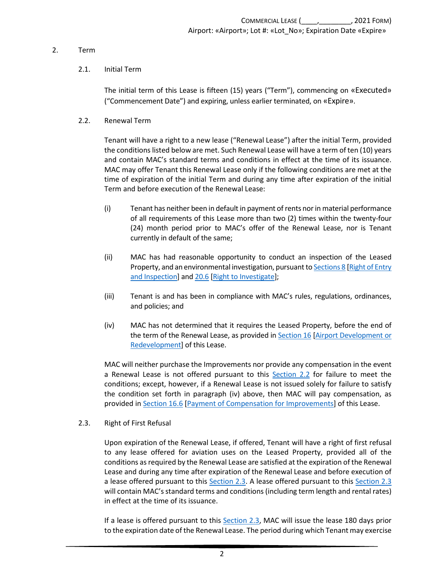#### <span id="page-5-1"></span><span id="page-5-0"></span>2. Term

### 2.1. Initial Term

<span id="page-5-4"></span>The initial term of this Lease is fifteen (15) years ("Term"), commencing on «Executed» ("Commencement Date") and expiring, unless earlier terminated, on «Expire».

<span id="page-5-2"></span>2.2. Renewal Term

Tenant will have a right to a new lease ("Renewal Lease") after the initial Term, provided the conditions listed below are met. Such Renewal Lease will have a term of ten (10) years and contain MAC's standard terms and conditions in effect at the time of its issuance. MAC may offer Tenant this Renewal Lease only if the following conditions are met at the time of expiration of the initial Term and during any time after expiration of the initial Term and before execution of the Renewal Lease:

- (i) Tenant has neither been in default in payment of rents nor in material performance of all requirements of this Lease more than two (2) times within the twenty-four (24) month period prior to MAC's offer of the Renewal Lease, nor is Tenant currently in default of the same;
- (ii) MAC has had reasonable opportunity to conduct an inspection of the Leased Property, and an environmental investigation, pursuant t[o Sections 8 \[Right of Entry](#page-14-2)  [and Inspection\]](#page-14-2) and [20.6 \[Right to Investigate\]](#page-37-0);
- (iii) Tenant is and has been in compliance with MAC's rules, regulations, ordinances, and policies; and
- (iv) MAC has not determined that it requires the Leased Property, before the end of the term of the Renewal Lease, as provided in **Section 16** [Airport Development or [Redevelopment\]](#page-23-0) of this Lease.

MAC will neither purchase the Improvements nor provide any compensation in the event a Renewal Lease is not offered pursuant to this [Section 2.2](#page-5-4) for failure to meet the conditions; except, however, if a Renewal Lease is not issued solely for failure to satisfy the condition set forth in paragraph (iv) above, then MAC will pay compensation, as provided in [Section 16.6 \[Payment of Compensation for Improvements\]](#page-25-1) of this Lease.

<span id="page-5-3"></span>2.3. Right of First Refusal

Upon expiration of the Renewal Lease, if offered, Tenant will have a right of first refusal to any lease offered for aviation uses on the Leased Property, provided all of the conditions as required by the Renewal Lease are satisfied at the expiration of the Renewal Lease and during any time after expiration of the Renewal Lease and before execution of a lease offered pursuant to this [Section 2.3.](#page-5-3) A lease offered pursuant to this [Section 2.3](#page-5-3) will contain MAC's standard terms and conditions (including term length and rental rates) in effect at the time of its issuance.

If a lease is offered pursuant to this [Section 2.3,](#page-5-3) MAC will issue the lease 180 days prior to the expiration date of the Renewal Lease. The period during which Tenant may exercise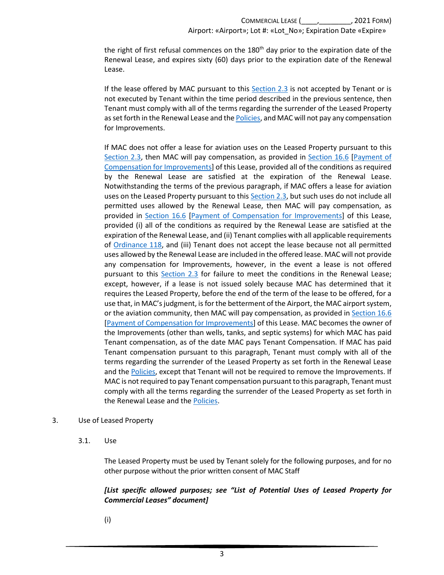the right of first refusal commences on the  $180<sup>th</sup>$  day prior to the expiration date of the Renewal Lease, and expires sixty (60) days prior to the expiration date of the Renewal Lease.

If the lease offered by MAC pursuant to this  $Section 2.3$  is not accepted by Tenant or is not executed by Tenant within the time period described in the previous sentence, then Tenant must comply with all of the terms regarding the surrender of the Leased Property as set forth in the Renewal Lease and th[e Policies,](https://metroairports.org/our-airports/airport-administration) and MAC will not pay any compensation for Improvements.

If MAC does not offer a lease for aviation uses on the Leased Property pursuant to this [Section 2.3,](#page-5-3) then MAC will pay compensation, as provided in [Section 16.6 \[Payment of](#page-25-1)  [Compensation for Improvements\]](#page-25-1) of this Lease, provided all of the conditions as required by the Renewal Lease are satisfied at the expiration of the Renewal Lease. Notwithstanding the terms of the previous paragraph, if MAC offers a lease for aviation uses on the Leased Property pursuant to thi[s Section 2.3,](#page-5-3) but such uses do not include all permitted uses allowed by the Renewal Lease, then MAC will pay compensation, as provided in [Section 16.6 \[Payment of Compensation for Improvements\]](#page-25-1) of this Lease, provided (i) all of the conditions as required by the Renewal Lease are satisfied at the expiration of the Renewal Lease, and (ii) Tenant complies with all applicable requirements of [Ordinance 118,](https://metroairports.org/sites/default/files/2021-06/Ordinance-118.pdf) and (iii) Tenant does not accept the lease because not all permitted uses allowed by the Renewal Lease are included in the offered lease. MAC will not provide any compensation for Improvements, however, in the event a lease is not offered pursuant to this [Section 2.3](#page-5-3) for failure to meet the conditions in the Renewal Lease; except, however, if a lease is not issued solely because MAC has determined that it requires the Leased Property, before the end of the term of the lease to be offered, for a use that, in MAC's judgment, is for the betterment of the Airport, the MAC airport system, or the aviation community, then MAC will pay compensation, as provided in [Section 16.6](#page-25-1) [\[Payment of Compensation for Improvements\]](#page-25-1) of this Lease. MAC becomes the owner of the Improvements (other than wells, tanks, and septic systems) for which MAC has paid Tenant compensation, as of the date MAC pays Tenant Compensation. If MAC has paid Tenant compensation pursuant to this paragraph, Tenant must comply with all of the terms regarding the surrender of the Leased Property as set forth in the Renewal Lease and th[e Policies,](https://metroairports.org/our-airports/airport-administration) except that Tenant will not be required to remove the Improvements. If MAC is not required to pay Tenant compensation pursuant to this paragraph, Tenant must comply with all the terms regarding the surrender of the Leased Property as set forth in the Renewal Lease and th[e Policies.](https://metroairports.org/our-airports/airport-administration)

#### <span id="page-6-1"></span><span id="page-6-0"></span>3. Use of Leased Property

3.1. Use

The Leased Property must be used by Tenant solely for the following purposes, and for no other purpose without the prior written consent of MAC Staff

### *[List specific allowed purposes; see "List of Potential Uses of Leased Property for Commercial Leases" document]*

(i)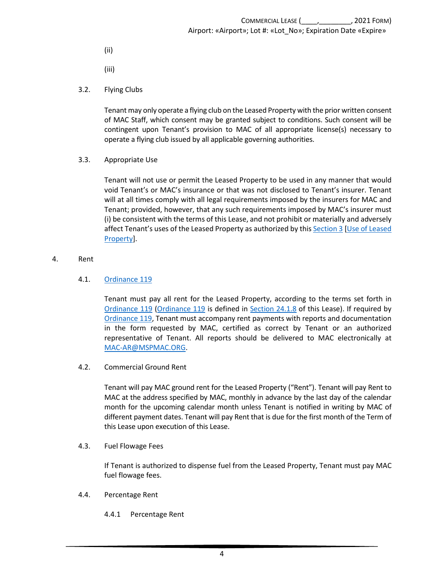- (ii)
- (iii)
- <span id="page-7-0"></span>3.2. Flying Clubs

Tenant may only operate a flying club on the Leased Property with the prior written consent of MAC Staff, which consent may be granted subject to conditions. Such consent will be contingent upon Tenant's provision to MAC of all appropriate license(s) necessary to operate a flying club issued by all applicable governing authorities.

<span id="page-7-1"></span>3.3. Appropriate Use

Tenant will not use or permit the Leased Property to be used in any manner that would void Tenant's or MAC's insurance or that was not disclosed to Tenant's insurer. Tenant will at all times comply with all legal requirements imposed by the insurers for MAC and Tenant; provided, however, that any such requirements imposed by MAC's insurer must (i) be consistent with the terms of this Lease, and not prohibit or materially and adversely affect Tenant's uses of the Leased Property as authorized by this [Section 3 \[Use of Leased](#page-6-0)  [Property\]](#page-6-0).

#### <span id="page-7-2"></span>4. Rent

### 4.1. [Ordinance 119](https://metroairports.org/documents/ordinances/ordinance-119)

<span id="page-7-3"></span>Tenant must pay all rent for the Leased Property, according to the terms set forth in [Ordinance 119 \(Ordinance 119](https://metroairports.org/documents/ordinances/ordinance-119) is defined in [Section 24.1.8](#page-44-3) of this Lease). If required by [Ordinance 119,](https://metroairports.org/documents/ordinances/ordinance-119) Tenant must accompany rent payments with reports and documentation in the form requested by MAC, certified as correct by Tenant or an authorized representative of Tenant. All reports should be delivered to MAC electronically at [MAC-AR@MSPMAC.ORG.](mailto:MAC-AR@MSPMAC.ORG)

<span id="page-7-4"></span>4.2. Commercial Ground Rent

<span id="page-7-7"></span>Tenant will pay MAC ground rent for the Leased Property ("Rent"). Tenant will pay Rent to MAC at the address specified by MAC, monthly in advance by the last day of the calendar month for the upcoming calendar month unless Tenant is notified in writing by MAC of different payment dates. Tenant will pay Rent that is due for the first month of the Term of this Lease upon execution of this Lease.

<span id="page-7-5"></span>4.3. Fuel Flowage Fees

If Tenant is authorized to dispense fuel from the Leased Property, Tenant must pay MAC fuel flowage fees.

- <span id="page-7-6"></span>4.4. Percentage Rent
	- 4.4.1 Percentage Rent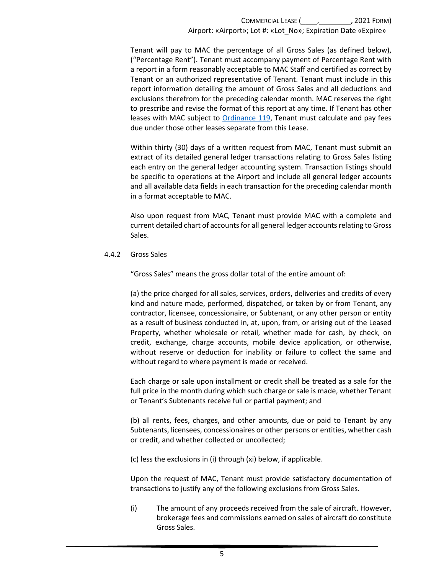Tenant will pay to MAC the percentage of all Gross Sales (as defined below), ("Percentage Rent"). Tenant must accompany payment of Percentage Rent with a report in a form reasonably acceptable to MAC Staff and certified as correct by Tenant or an authorized representative of Tenant. Tenant must include in this report information detailing the amount of Gross Sales and all deductions and exclusions therefrom for the preceding calendar month. MAC reserves the right to prescribe and revise the format of this report at any time. If Tenant has other leases with MAC subject to [Ordinance 119,](https://metroairports.org/documents/ordinances/ordinance-119) Tenant must calculate and pay fees due under those other leases separate from this Lease.

Within thirty (30) days of a written request from MAC, Tenant must submit an extract of its detailed general ledger transactions relating to Gross Sales listing each entry on the general ledger accounting system. Transaction listings should be specific to operations at the Airport and include all general ledger accounts and all available data fields in each transaction for the preceding calendar month in a format acceptable to MAC.

Also upon request from MAC, Tenant must provide MAC with a complete and current detailed chart of accounts for all general ledger accounts relating to Gross Sales.

4.4.2 Gross Sales

"Gross Sales" means the gross dollar total of the entire amount of:

(a) the price charged for all sales, services, orders, deliveries and credits of every kind and nature made, performed, dispatched, or taken by or from Tenant, any contractor, licensee, concessionaire, or Subtenant, or any other person or entity as a result of business conducted in, at, upon, from, or arising out of the Leased Property, whether wholesale or retail, whether made for cash, by check, on credit, exchange, charge accounts, mobile device application, or otherwise, without reserve or deduction for inability or failure to collect the same and without regard to where payment is made or received.

Each charge or sale upon installment or credit shall be treated as a sale for the full price in the month during which such charge or sale is made, whether Tenant or Tenant's Subtenants receive full or partial payment; and

(b) all rents, fees, charges, and other amounts, due or paid to Tenant by any Subtenants, licensees, concessionaires or other persons or entities, whether cash or credit, and whether collected or uncollected;

(c) less the exclusions in (i) through (xi) below, if applicable.

Upon the request of MAC, Tenant must provide satisfactory documentation of transactions to justify any of the following exclusions from Gross Sales.

(i) The amount of any proceeds received from the sale of aircraft. However, brokerage fees and commissions earned on sales of aircraft do constitute Gross Sales.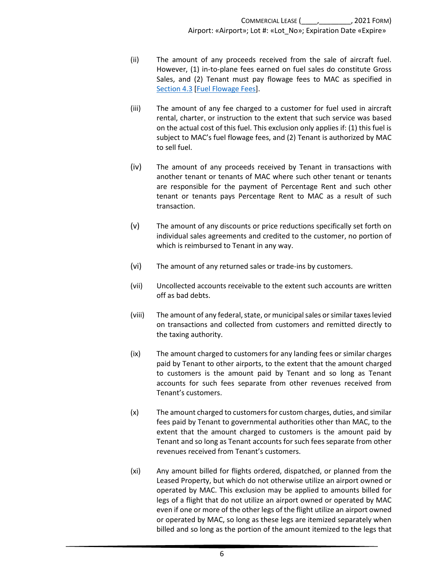- (ii) The amount of any proceeds received from the sale of aircraft fuel. However, (1) in-to-plane fees earned on fuel sales do constitute Gross Sales, and (2) Tenant must pay flowage fees to MAC as specified in [Section 4.3 \[Fuel Flowage Fees\]](#page-7-7).
- (iii) The amount of any fee charged to a customer for fuel used in aircraft rental, charter, or instruction to the extent that such service was based on the actual cost of this fuel. This exclusion only applies if: (1) this fuel is subject to MAC's fuel flowage fees, and (2) Tenant is authorized by MAC to sell fuel.
- (iv) The amount of any proceeds received by Tenant in transactions with another tenant or tenants of MAC where such other tenant or tenants are responsible for the payment of Percentage Rent and such other tenant or tenants pays Percentage Rent to MAC as a result of such transaction.
- (v) The amount of any discounts or price reductions specifically set forth on individual sales agreements and credited to the customer, no portion of which is reimbursed to Tenant in any way.
- (vi) The amount of any returned sales or trade-ins by customers.
- (vii) Uncollected accounts receivable to the extent such accounts are written off as bad debts.
- (viii) The amount of any federal, state, or municipal sales or similar taxes levied on transactions and collected from customers and remitted directly to the taxing authority.
- (ix) The amount charged to customers for any landing fees or similar charges paid by Tenant to other airports, to the extent that the amount charged to customers is the amount paid by Tenant and so long as Tenant accounts for such fees separate from other revenues received from Tenant's customers.
- (x) The amount charged to customers for custom charges, duties, and similar fees paid by Tenant to governmental authorities other than MAC, to the extent that the amount charged to customers is the amount paid by Tenant and so long as Tenant accounts for such fees separate from other revenues received from Tenant's customers.
- (xi) Any amount billed for flights ordered, dispatched, or planned from the Leased Property, but which do not otherwise utilize an airport owned or operated by MAC. This exclusion may be applied to amounts billed for legs of a flight that do not utilize an airport owned or operated by MAC even if one or more of the other legs of the flight utilize an airport owned or operated by MAC, so long as these legs are itemized separately when billed and so long as the portion of the amount itemized to the legs that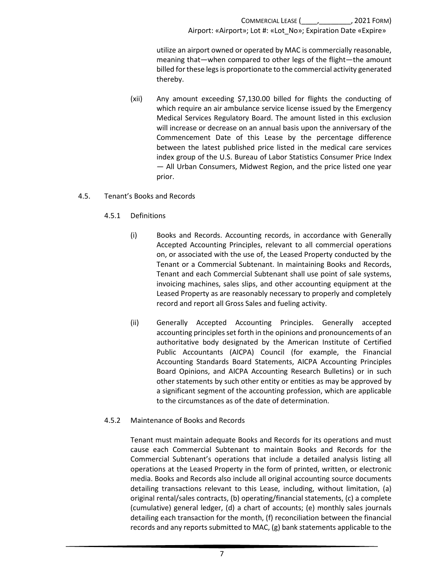utilize an airport owned or operated by MAC is commercially reasonable, meaning that—when compared to other legs of the flight—the amount billed for these legs is proportionate to the commercial activity generated thereby.

- (xii) Any amount exceeding \$7,130.00 billed for flights the conducting of which require an air ambulance service license issued by the Emergency Medical Services Regulatory Board. The amount listed in this exclusion will increase or decrease on an annual basis upon the anniversary of the Commencement Date of this Lease by the percentage difference between the latest published price listed in the medical care services index group of the U.S. Bureau of Labor Statistics Consumer Price Index — All Urban Consumers, Midwest Region, and the price listed one year prior.
- <span id="page-10-0"></span>4.5. Tenant's Books and Records
	- 4.5.1 Definitions
		- (i) Books and Records. Accounting records, in accordance with Generally Accepted Accounting Principles, relevant to all commercial operations on, or associated with the use of, the Leased Property conducted by the Tenant or a Commercial Subtenant. In maintaining Books and Records, Tenant and each Commercial Subtenant shall use point of sale systems, invoicing machines, sales slips, and other accounting equipment at the Leased Property as are reasonably necessary to properly and completely record and report all Gross Sales and fueling activity.
		- (ii) Generally Accepted Accounting Principles. Generally accepted accounting principles set forth in the opinions and pronouncements of an authoritative body designated by the American Institute of Certified Public Accountants (AICPA) Council (for example, the Financial Accounting Standards Board Statements, AICPA Accounting Principles Board Opinions, and AICPA Accounting Research Bulletins) or in such other statements by such other entity or entities as may be approved by a significant segment of the accounting profession, which are applicable to the circumstances as of the date of determination.
	- 4.5.2 Maintenance of Books and Records

Tenant must maintain adequate Books and Records for its operations and must cause each Commercial Subtenant to maintain Books and Records for the Commercial Subtenant's operations that include a detailed analysis listing all operations at the Leased Property in the form of printed, written, or electronic media. Books and Records also include all original accounting source documents detailing transactions relevant to this Lease, including, without limitation, (a) original rental/sales contracts, (b) operating/financial statements, (c) a complete (cumulative) general ledger, (d) a chart of accounts; (e) monthly sales journals detailing each transaction for the month, (f) reconciliation between the financial records and any reports submitted to MAC, (g) bank statements applicable to the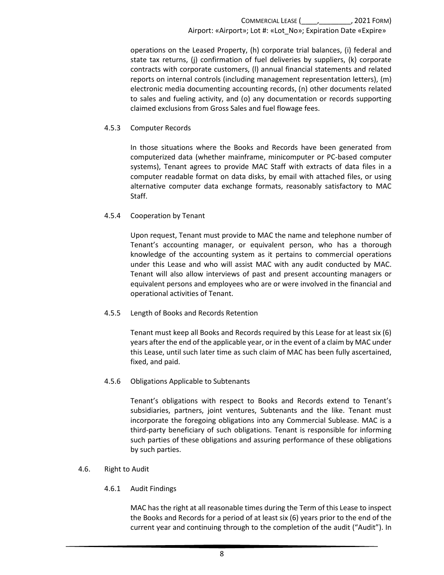operations on the Leased Property, (h) corporate trial balances, (i) federal and state tax returns, (j) confirmation of fuel deliveries by suppliers, (k) corporate contracts with corporate customers, (l) annual financial statements and related reports on internal controls (including management representation letters), (m) electronic media documenting accounting records, (n) other documents related to sales and fueling activity, and (o) any documentation or records supporting claimed exclusions from Gross Sales and fuel flowage fees.

#### 4.5.3 Computer Records

In those situations where the Books and Records have been generated from computerized data (whether mainframe, minicomputer or PC-based computer systems), Tenant agrees to provide MAC Staff with extracts of data files in a computer readable format on data disks, by email with attached files, or using alternative computer data exchange formats, reasonably satisfactory to MAC Staff.

### 4.5.4 Cooperation by Tenant

Upon request, Tenant must provide to MAC the name and telephone number of Tenant's accounting manager, or equivalent person, who has a thorough knowledge of the accounting system as it pertains to commercial operations under this Lease and who will assist MAC with any audit conducted by MAC. Tenant will also allow interviews of past and present accounting managers or equivalent persons and employees who are or were involved in the financial and operational activities of Tenant.

### 4.5.5 Length of Books and Records Retention

Tenant must keep all Books and Records required by this Lease for at least six (6) years after the end of the applicable year, or in the event of a claim by MAC under this Lease, until such later time as such claim of MAC has been fully ascertained, fixed, and paid.

### 4.5.6 Obligations Applicable to Subtenants

Tenant's obligations with respect to Books and Records extend to Tenant's subsidiaries, partners, joint ventures, Subtenants and the like. Tenant must incorporate the foregoing obligations into any Commercial Sublease. MAC is a third-party beneficiary of such obligations. Tenant is responsible for informing such parties of these obligations and assuring performance of these obligations by such parties.

#### <span id="page-11-0"></span>4.6. Right to Audit

4.6.1 Audit Findings

MAC has the right at all reasonable times during the Term of this Lease to inspect the Books and Records for a period of at least six (6) years prior to the end of the current year and continuing through to the completion of the audit ("Audit"). In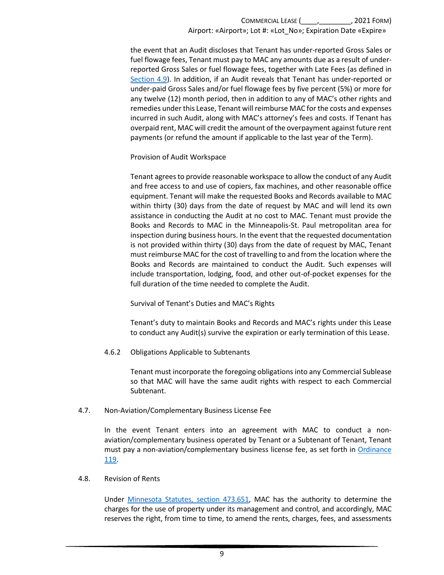the event that an Audit discloses that Tenant has under-reported Gross Sales or fuel flowage fees, Tenant must pay to MAC any amounts due as a result of underreported Gross Sales or fuel flowage fees, together with Late Fees (as defined in [Section 4.9\)](#page-13-0). In addition, if an Audit reveals that Tenant has under-reported or under-paid Gross Sales and/or fuel flowage fees by five percent (5%) or more for any twelve (12) month period, then in addition to any of MAC's other rights and remedies under this Lease, Tenant will reimburse MAC for the costs and expenses incurred in such Audit, along with MAC's attorney's fees and costs. If Tenant has overpaid rent, MAC will credit the amount of the overpayment against future rent payments (or refund the amount if applicable to the last year of the Term).

Provision of Audit Workspace

Tenant agrees to provide reasonable workspace to allow the conduct of any Audit and free access to and use of copiers, fax machines, and other reasonable office equipment. Tenant will make the requested Books and Records available to MAC within thirty (30) days from the date of request by MAC and will lend its own assistance in conducting the Audit at no cost to MAC. Tenant must provide the Books and Records to MAC in the Minneapolis-St. Paul metropolitan area for inspection during business hours. In the event that the requested documentation is not provided within thirty (30) days from the date of request by MAC, Tenant must reimburse MAC for the cost of travelling to and from the location where the Books and Records are maintained to conduct the Audit. Such expenses will include transportation, lodging, food, and other out-of-pocket expenses for the full duration of the time needed to complete the Audit.

Survival of Tenant's Duties and MAC's Rights

Tenant's duty to maintain Books and Records and MAC's rights under this Lease to conduct any Audit(s) survive the expiration or early termination of this Lease.

4.6.2 Obligations Applicable to Subtenants

Tenant must incorporate the foregoing obligations into any Commercial Sublease so that MAC will have the same audit rights with respect to each Commercial Subtenant.

### <span id="page-12-0"></span>4.7. Non-Aviation/Complementary Business License Fee

In the event Tenant enters into an agreement with MAC to conduct a nonaviation/complementary business operated by Tenant or a Subtenant of Tenant, Tenant must pay a non-aviation/complementary business license fee, as set forth in [Ordinance](https://metroairports.org/documents/ordinances/ordinance-119)  [119.](https://metroairports.org/documents/ordinances/ordinance-119)

### <span id="page-12-1"></span>4.8. Revision of Rents

Under [Minnesota Statutes, section](https://www.revisor.mn.gov/statutes/cite/473.651) 473.651, MAC has the authority to determine the charges for the use of property under its management and control, and accordingly, MAC reserves the right, from time to time, to amend the rents, charges, fees, and assessments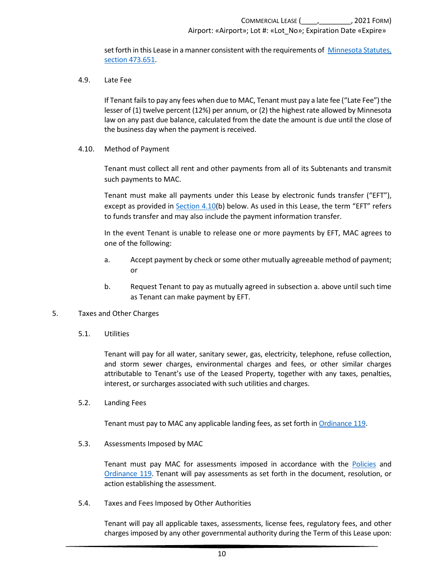set forth in this Lease in a manner consistent with the requirements o[f Minnesota Statutes,](https://www.revisor.mn.gov/statutes/cite/473.651)  [section 473.651.](https://www.revisor.mn.gov/statutes/cite/473.651)

<span id="page-13-0"></span>4.9. Late Fee

If Tenant fails to pay any fees when due to MAC, Tenant must pay a late fee ("Late Fee") the lesser of (1) twelve percent (12%) per annum, or (2) the highest rate allowed by Minnesota law on any past due balance, calculated from the date the amount is due until the close of the business day when the payment is received.

<span id="page-13-1"></span>4.10. Method of Payment

Tenant must collect all rent and other payments from all of its Subtenants and transmit such payments to MAC.

Tenant must make all payments under this Lease by electronic funds transfer ("EFT"), except as provided in [Section 4.10\(](#page-13-1)b) below. As used in this Lease, the term "EFT" refers to funds transfer and may also include the payment information transfer.

In the event Tenant is unable to release one or more payments by EFT, MAC agrees to one of the following:

- a. Accept payment by check or some other mutually agreeable method of payment; or
- b. Request Tenant to pay as mutually agreed in subsection a. above until such time as Tenant can make payment by EFT.
- <span id="page-13-3"></span><span id="page-13-2"></span>5. Taxes and Other Charges
	- 5.1. Utilities

Tenant will pay for all water, sanitary sewer, gas, electricity, telephone, refuse collection, and storm sewer charges, environmental charges and fees, or other similar charges attributable to Tenant's use of the Leased Property, together with any taxes, penalties, interest, or surcharges associated with such utilities and charges.

<span id="page-13-4"></span>5.2. Landing Fees

Tenant must pay to MAC any applicable landing fees, as set forth in [Ordinance 119.](https://metroairports.org/documents/ordinances/ordinance-119)

<span id="page-13-5"></span>5.3. Assessments Imposed by MAC

Tenant must pay MAC for assessments imposed in accordance with the [Policies](https://metroairports.org/our-airports/airport-administration) and [Ordinance 119.](https://metroairports.org/documents/ordinances/ordinance-119) Tenant will pay assessments as set forth in the document, resolution, or action establishing the assessment.

<span id="page-13-6"></span>5.4. Taxes and Fees Imposed by Other Authorities

Tenant will pay all applicable taxes, assessments, license fees, regulatory fees, and other charges imposed by any other governmental authority during the Term of this Lease upon: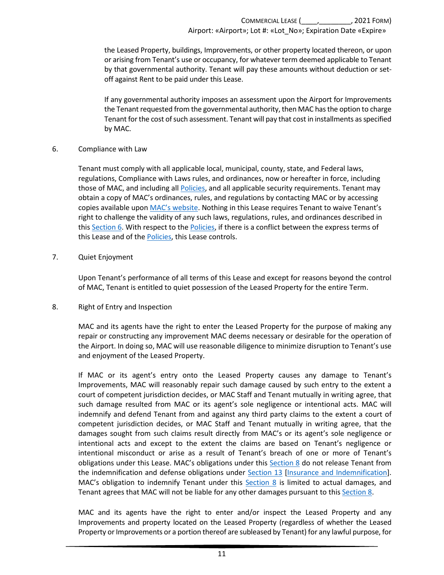the Leased Property, buildings, Improvements, or other property located thereon, or upon or arising from Tenant's use or occupancy, for whatever term deemed applicable to Tenant by that governmental authority. Tenant will pay these amounts without deduction or setoff against Rent to be paid under this Lease.

If any governmental authority imposes an assessment upon the Airport for Improvements the Tenant requested from the governmental authority, then MAC hasthe option to charge Tenant for the cost of such assessment. Tenant will pay that cost in installments as specified by MAC.

### <span id="page-14-0"></span>6. Compliance with Law

Tenant must comply with all applicable local, municipal, county, state, and Federal laws, regulations, Compliance with Laws rules, and ordinances, now or hereafter in force, including those of MAC, and including all [Policies,](https://metroairports.org/our-airports/airport-administration) and all applicable security requirements. Tenant may obtain a copy of MAC's ordinances, rules, and regulations by contacting MAC or by accessing copies available upo[n MAC's website.](https://metroairports.org/) Nothing in this Lease requires Tenant to waive Tenant's right to challenge the validity of any such laws, regulations, rules, and ordinances described in this [Section 6.](#page-14-0) With respect to th[e Policies,](https://metroairports.org/our-airports/airport-administration) if there is a conflict between the express terms of this Lease and of the [Policies,](https://metroairports.org/our-airports/airport-administration) this Lease controls.

### <span id="page-14-1"></span>7. Quiet Enjoyment

Upon Tenant's performance of all terms of this Lease and except for reasons beyond the control of MAC, Tenant is entitled to quiet possession of the Leased Property for the entire Term.

### <span id="page-14-2"></span>8. Right of Entry and Inspection

MAC and its agents have the right to enter the Leased Property for the purpose of making any repair or constructing any improvement MAC deems necessary or desirable for the operation of the Airport. In doing so, MAC will use reasonable diligence to minimize disruption to Tenant's use and enjoyment of the Leased Property.

If MAC or its agent's entry onto the Leased Property causes any damage to Tenant's Improvements, MAC will reasonably repair such damage caused by such entry to the extent a court of competent jurisdiction decides, or MAC Staff and Tenant mutually in writing agree, that such damage resulted from MAC or its agent's sole negligence or intentional acts. MAC will indemnify and defend Tenant from and against any third party claims to the extent a court of competent jurisdiction decides, or MAC Staff and Tenant mutually in writing agree, that the damages sought from such claims result directly from MAC's or its agent's sole negligence or intentional acts and except to the extent the claims are based on Tenant's negligence or intentional misconduct or arise as a result of Tenant's breach of one or more of Tenant's obligations under this Lease. MAC's obligations under this [Section 8](#page-14-2) do not release Tenant from the indemnification and defense obligations under [Section 13 \[Insurance and Indemnification\]](#page-18-0). MAC's obligation to indemnify Tenant under this [Section 8](#page-14-2) is limited to actual damages, and Tenant agrees that MAC will not be liable for any other damages pursuant to this [Section 8.](#page-14-2)

MAC and its agents have the right to enter and/or inspect the Leased Property and any Improvements and property located on the Leased Property (regardless of whether the Leased Property or Improvements or a portion thereof are subleased by Tenant) for any lawful purpose, for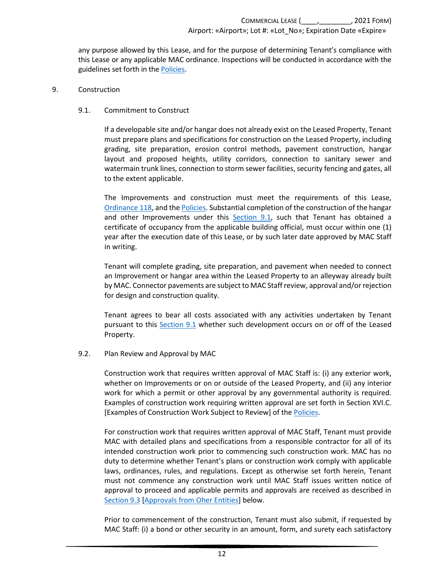any purpose allowed by this Lease, and for the purpose of determining Tenant's compliance with this Lease or any applicable MAC ordinance. Inspections will be conducted in accordance with the guidelines set forth in the [Policies.](https://metroairports.org/our-airports/airport-administration)

#### <span id="page-15-1"></span><span id="page-15-0"></span>9. Construction

#### 9.1. Commitment to Construct

If a developable site and/or hangar does not already exist on the Leased Property, Tenant must prepare plans and specifications for construction on the Leased Property, including grading, site preparation, erosion control methods, pavement construction, hangar layout and proposed heights, utility corridors, connection to sanitary sewer and watermain trunk lines, connection to storm sewer facilities, security fencing and gates, all to the extent applicable.

The Improvements and construction must meet the requirements of this Lease, [Ordinance 118,](https://metroairports.org/sites/default/files/2021-06/Ordinance-118.pdf) and th[e Policies.](https://metroairports.org/our-airports/airport-administration) Substantial completion of the construction of the hangar and other Improvements under this [Section 9.1,](#page-15-1) such that Tenant has obtained a certificate of occupancy from the applicable building official, must occur within one (1) year after the execution date of this Lease, or by such later date approved by MAC Staff in writing.

Tenant will complete grading, site preparation, and pavement when needed to connect an Improvement or hangar area within the Leased Property to an alleyway already built by MAC. Connector pavements are subject to MAC Staff review, approval and/or rejection for design and construction quality.

Tenant agrees to bear all costs associated with any activities undertaken by Tenant pursuant to this [Section 9.1](#page-15-1) whether such development occurs on or off of the Leased Property.

#### <span id="page-15-2"></span>9.2. Plan Review and Approval by MAC

Construction work that requires written approval of MAC Staff is: (i) any exterior work, whether on Improvements or on or outside of the Leased Property, and (ii) any interior work for which a permit or other approval by any governmental authority is required. Examples of construction work requiring written approval are set forth in Section XVI.C. [Examples of Construction Work Subject to Review] of the [Policies.](https://metroairports.org/our-airports/airport-administration)

For construction work that requires written approval of MAC Staff, Tenant must provide MAC with detailed plans and specifications from a responsible contractor for all of its intended construction work prior to commencing such construction work. MAC has no duty to determine whether Tenant's plans or construction work comply with applicable laws, ordinances, rules, and regulations. Except as otherwise set forth herein, Tenant must not commence any construction work until MAC Staff issues written notice of approval to proceed and applicable permits and approvals are received as described in [Section 9.3 \[Approvals from Oher Entities\]](#page-16-0) below.

Prior to commencement of the construction, Tenant must also submit, if requested by MAC Staff: (i) a bond or other security in an amount, form, and surety each satisfactory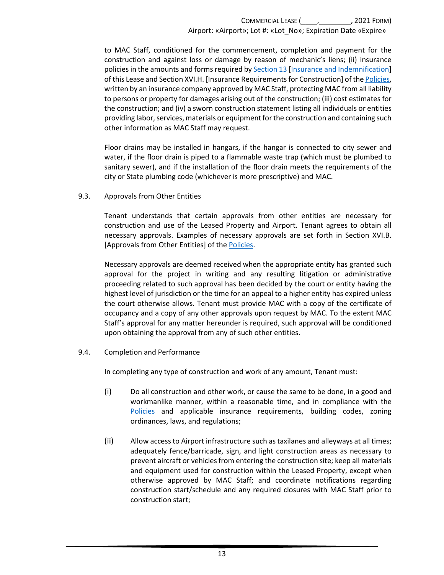to MAC Staff, conditioned for the commencement, completion and payment for the construction and against loss or damage by reason of mechanic's liens; (ii) insurance policies in the amounts and forms required b[y Section 13 \[Insurance and Indemnification\]](#page-18-0) of this Lease and Section XVI.H. [Insurance Requirements for Construction] of the [Policies,](https://metroairports.org/our-airports/airport-administration)  written by an insurance company approved by MAC Staff, protecting MAC from all liability to persons or property for damages arising out of the construction; (iii) cost estimates for the construction; and (iv) a sworn construction statement listing all individuals or entities providing labor, services, materials or equipment for the construction and containing such other information as MAC Staff may request.

Floor drains may be installed in hangars, if the hangar is connected to city sewer and water, if the floor drain is piped to a flammable waste trap (which must be plumbed to sanitary sewer), and if the installation of the floor drain meets the requirements of the city or State plumbing code (whichever is more prescriptive) and MAC.

<span id="page-16-0"></span>9.3. Approvals from Other Entities

Tenant understands that certain approvals from other entities are necessary for construction and use of the Leased Property and Airport. Tenant agrees to obtain all necessary approvals. Examples of necessary approvals are set forth in Section XVI.B. [Approvals from Other Entities] of th[e Policies.](https://metroairports.org/our-airports/airport-administration)

Necessary approvals are deemed received when the appropriate entity has granted such approval for the project in writing and any resulting litigation or administrative proceeding related to such approval has been decided by the court or entity having the highest level of jurisdiction or the time for an appeal to a higher entity has expired unless the court otherwise allows. Tenant must provide MAC with a copy of the certificate of occupancy and a copy of any other approvals upon request by MAC. To the extent MAC Staff's approval for any matter hereunder is required, such approval will be conditioned upon obtaining the approval from any of such other entities.

<span id="page-16-1"></span>9.4. Completion and Performance

In completing any type of construction and work of any amount, Tenant must:

- (i) Do all construction and other work, or cause the same to be done, in a good and workmanlike manner, within a reasonable time, and in compliance with the [Policies](https://metroairports.org/our-airports/airport-administration) and applicable insurance requirements, building codes, zoning ordinances, laws, and regulations;
- (ii) Allow access to Airport infrastructure such as taxilanes and alleyways at all times; adequately fence/barricade, sign, and light construction areas as necessary to prevent aircraft or vehicles from entering the construction site; keep all materials and equipment used for construction within the Leased Property, except when otherwise approved by MAC Staff; and coordinate notifications regarding construction start/schedule and any required closures with MAC Staff prior to construction start;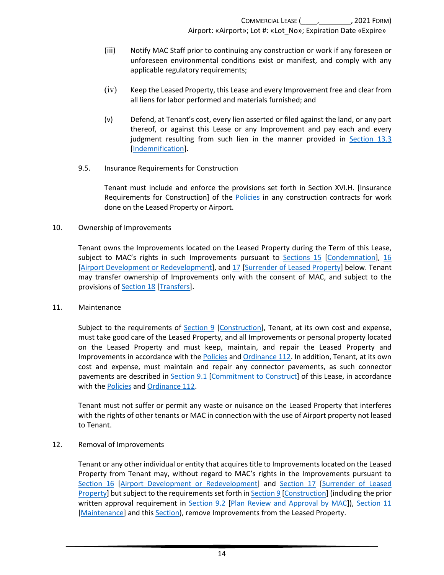- (iii) Notify MAC Staff prior to continuing any construction or work if any foreseen or unforeseen environmental conditions exist or manifest, and comply with any applicable regulatory requirements;
- (iv) Keep the Leased Property, this Lease and every Improvement free and clear from all liens for labor performed and materials furnished; and
- (v) Defend, at Tenant's cost, every lien asserted or filed against the land, or any part thereof, or against this Lease or any Improvement and pay each and every judgment resulting from such lien in the manner provided in [Section 13.3](#page-20-0) [\[Indemnification\]](#page-20-0).
- <span id="page-17-0"></span>9.5. Insurance Requirements for Construction

Tenant must include and enforce the provisions set forth in Section XVI.H. [Insurance Requirements for Construction] of the [Policies](https://metroairports.org/our-airports/airport-administration) in any construction contracts for work done on the Leased Property or Airport.

<span id="page-17-1"></span>10. Ownership of Improvements

Tenant owns the Improvements located on the Leased Property during the Term of this Lease, subject to MAC's rights in such Improvements pursuant to [Sections 15 \[Condemnation\]](#page-22-0), [16](#page-23-0) [\[Airport Development or Redevelopment\]](#page-23-0), an[d 17 \[Surrender of Leased Property\]](#page-28-2) below. Tenant may transfer ownership of Improvements only with the consent of MAC, and subject to the provisions of **Section 18** [Transfers].

<span id="page-17-2"></span>11. Maintenance

Subject to the requirements of [Section 9 \[Construction\]](#page-15-0), Tenant, at its own cost and expense, must take good care of the Leased Property, and all Improvements or personal property located on the Leased Property and must keep, maintain, and repair the Leased Property and Improvements in accordance with the [Policies](https://metroairports.org/our-airports/airport-administration) an[d Ordinance 112.](https://metroairports.org/documents/ordinances/ordinance-112) In addition, Tenant, at its own cost and expense, must maintain and repair any connector pavements, as such connector pavements are described in [Section 9.1 \[Commitment to Construct\]](#page-15-1) of this Lease, in accordance with the [Policies](https://metroairports.org/our-airports/airport-administration) and [Ordinance 112.](https://metroairports.org/documents/ordinances/ordinance-112)

Tenant must not suffer or permit any waste or nuisance on the Leased Property that interferes with the rights of other tenants or MAC in connection with the use of Airport property not leased to Tenant.

<span id="page-17-3"></span>12. Removal of Improvements

Tenant or any other individual or entity that acquires title to Improvements located on the Leased Property from Tenant may, without regard to MAC's rights in the Improvements pursuant to [Section 16 \[Airport Development or Redevelopment\]](#page-23-0) and [Section 17 \[Surrender of Leased](#page-28-2)  [Property\]](#page-28-2) but subject to the requirements set forth in **Section 9 [Construction]** (including the prior written approval requirement in [Section 9.2 \[Plan Review and Approval by MAC\]](#page-15-2)), [Section 11](#page-17-2) [\[Maintenance\]](#page-17-2) and this Section], remove Improvements from the Leased Property.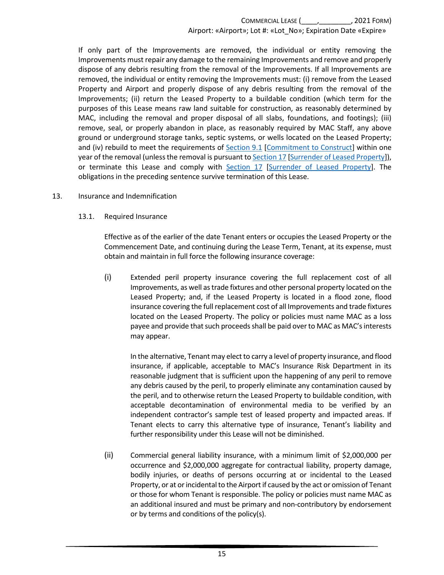If only part of the Improvements are removed, the individual or entity removing the Improvements must repair any damage to the remaining Improvements and remove and properly dispose of any debris resulting from the removal of the Improvements. If all Improvements are removed, the individual or entity removing the Improvements must: (i) remove from the Leased Property and Airport and properly dispose of any debris resulting from the removal of the Improvements; (ii) return the Leased Property to a buildable condition (which term for the purposes of this Lease means raw land suitable for construction, as reasonably determined by MAC, including the removal and proper disposal of all slabs, foundations, and footings); (iii) remove, seal, or properly abandon in place, as reasonably required by MAC Staff, any above ground or underground storage tanks, septic systems, or wells located on the Leased Property; and (iv) rebuild to meet the requirements of [Section 9.1 \[Commitment to Construct\]](#page-15-1) within one year of the removal (unless the removal is pursuant t[o Section 17 \[Surrender of Leased Property\]](#page-28-2)), or terminate this Lease and comply with [Section 17 \[Surrender of Leased Property\]](#page-28-2). The obligations in the preceding sentence survive termination of this Lease.

#### <span id="page-18-1"></span><span id="page-18-0"></span>13. Insurance and Indemnification

13.1. Required Insurance

Effective as of the earlier of the date Tenant enters or occupies the Leased Property or the Commencement Date, and continuing during the Lease Term, Tenant, at its expense, must obtain and maintain in full force the following insurance coverage:

(i) Extended peril property insurance covering the full replacement cost of all Improvements, as well astrade fixtures and other personal property located on the Leased Property; and, if the Leased Property is located in a flood zone, flood insurance covering the full replacement cost of all Improvements and trade fixtures located on the Leased Property. The policy or policies must name MAC as a loss payee and provide that such proceeds shall be paid over to MAC as MAC'sinterests may appear.

In the alternative, Tenant may elect to carry a level of property insurance, and flood insurance, if applicable, acceptable to MAC's Insurance Risk Department in its reasonable judgment that is sufficient upon the happening of any peril to remove any debris caused by the peril, to properly eliminate any contamination caused by the peril, and to otherwise return the Leased Property to buildable condition, with acceptable decontamination of environmental media to be verified by an independent contractor's sample test of leased property and impacted areas. If Tenant elects to carry this alternative type of insurance, Tenant's liability and further responsibility under this Lease will not be diminished.

(ii) Commercial general liability insurance, with a minimum limit of \$2,000,000 per occurrence and \$2,000,000 aggregate for contractual liability, property damage, bodily injuries, or deaths of persons occurring at or incidental to the Leased Property, or at or incidental to the Airport if caused by the act or omission of Tenant or those for whom Tenant is responsible. The policy or policies must name MAC as an additional insured and must be primary and non-contributory by endorsement or by terms and conditions of the policy(s).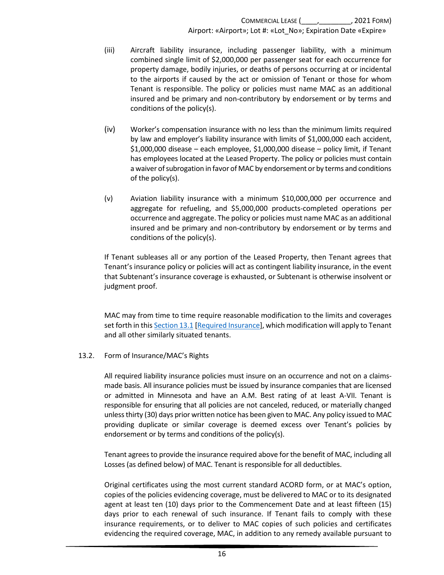- (iii) Aircraft liability insurance, including passenger liability, with a minimum combined single limit of \$2,000,000 per passenger seat for each occurrence for property damage, bodily injuries, or deaths of persons occurring at or incidental to the airports if caused by the act or omission of Tenant or those for whom Tenant is responsible. The policy or policies must name MAC as an additional insured and be primary and non-contributory by endorsement or by terms and conditions of the policy(s).
- (iv) Worker's compensation insurance with no less than the minimum limits required by law and employer's liability insurance with limits of \$1,000,000 each accident, \$1,000,000 disease – each employee, \$1,000,000 disease – policy limit, if Tenant has employees located at the Leased Property. The policy or policies must contain a waiver of subrogation in favor of MAC by endorsement or by terms and conditions of the policy(s).
- (v) Aviation liability insurance with a minimum \$10,000,000 per occurrence and aggregate for refueling, and \$5,000,000 products-completed operations per occurrence and aggregate. The policy or policies must name MAC as an additional insured and be primary and non-contributory by endorsement or by terms and conditions of the policy(s).

If Tenant subleases all or any portion of the Leased Property, then Tenant agrees that Tenant's insurance policy or policies will act as contingent liability insurance, in the event that Subtenant's insurance coverage is exhausted, or Subtenant is otherwise insolvent or judgment proof.

MAC may from time to time require reasonable modification to the limits and coverages set forth in thi[s Section](#page-18-1) 13.1 [\[Required Insurance\]](#page-18-1), which modification will apply to Tenant and all other similarly situated tenants.

#### <span id="page-19-0"></span>13.2. Form of Insurance/MAC's Rights

All required liability insurance policies must insure on an occurrence and not on a claimsmade basis. All insurance policies must be issued by insurance companies that are licensed or admitted in Minnesota and have an A.M. Best rating of at least A-VII. Tenant is responsible for ensuring that all policies are not canceled, reduced, or materially changed unless thirty (30) days prior written notice has been given to MAC. Any policy issued to MAC providing duplicate or similar coverage is deemed excess over Tenant's policies by endorsement or by terms and conditions of the policy(s).

Tenant agrees to provide the insurance required above for the benefit of MAC, including all Losses (as defined below) of MAC. Tenant is responsible for all deductibles.

Original certificates using the most current standard ACORD form, or at MAC's option, copies of the policies evidencing coverage, must be delivered to MAC or to its designated agent at least ten (10) days prior to the Commencement Date and at least fifteen (15) days prior to each renewal of such insurance. If Tenant fails to comply with these insurance requirements, or to deliver to MAC copies of such policies and certificates evidencing the required coverage, MAC, in addition to any remedy available pursuant to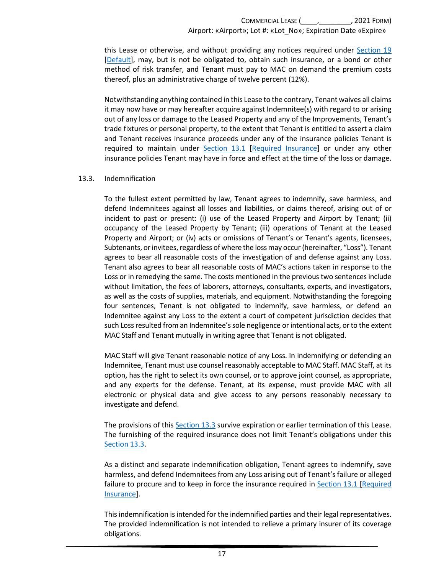this Lease or otherwise, and without providing any notices required under [Section 19](#page-33-0) [\[Default\]](#page-33-0), may, but is not be obligated to, obtain such insurance, or a bond or other method of risk transfer, and Tenant must pay to MAC on demand the premium costs thereof, plus an administrative charge of twelve percent (12%).

Notwithstanding anything contained in this Lease to the contrary, Tenant waives all claims it may now have or may hereafter acquire against Indemnitee(s) with regard to or arising out of any loss or damage to the Leased Property and any of the Improvements, Tenant's trade fixtures or personal property, to the extent that Tenant is entitled to assert a claim and Tenant receives insurance proceeds under any of the insurance policies Tenant is required to maintain under [Section 13.1 \[Required Insurance\]](#page-18-1) or under any other insurance policies Tenant may have in force and effect at the time of the loss or damage.

#### <span id="page-20-0"></span>13.3. Indemnification

To the fullest extent permitted by law, Tenant agrees to indemnify, save harmless, and defend Indemnitees against all losses and liabilities, or claims thereof, arising out of or incident to past or present: (i) use of the Leased Property and Airport by Tenant; (ii) occupancy of the Leased Property by Tenant; (iii) operations of Tenant at the Leased Property and Airport; or (iv) acts or omissions of Tenant's or Tenant's agents, licensees, Subtenants, or invitees, regardless of where the lossmay occur(hereinafter, "Loss"). Tenant agrees to bear all reasonable costs of the investigation of and defense against any Loss. Tenant also agrees to bear all reasonable costs of MAC's actions taken in response to the Loss or in remedying the same. The costs mentioned in the previous two sentences include without limitation, the fees of laborers, attorneys, consultants, experts, and investigators, as well as the costs of supplies, materials, and equipment. Notwithstanding the foregoing four sentences, Tenant is not obligated to indemnify, save harmless, or defend an Indemnitee against any Loss to the extent a court of competent jurisdiction decides that such Loss resulted from an Indemnitee'ssole negligence or intentional acts, or to the extent MAC Staff and Tenant mutually in writing agree that Tenant is not obligated.

MAC Staff will give Tenant reasonable notice of any Loss. In indemnifying or defending an Indemnitee, Tenant must use counsel reasonably acceptable to MAC Staff. MAC Staff, at its option, has the right to select its own counsel, or to approve joint counsel, as appropriate, and any experts for the defense. Tenant, at its expense, must provide MAC with all electronic or physical data and give access to any persons reasonably necessary to investigate and defend.

The provisions of this [Section 13.3](#page-20-0) survive expiration or earlier termination of this Lease. The furnishing of the required insurance does not limit Tenant's obligations under this [Section 13.3.](#page-20-0)

As a distinct and separate indemnification obligation, Tenant agrees to indemnify, save harmless, and defend Indemnitees from any Loss arising out of Tenant's failure or alleged failure to procure and to keep in force the insurance required in [Section 13.1](#page-18-1) [\[Required](#page-18-1)  [Insurance\]](#page-18-1).

This indemnification is intended for the indemnified parties and their legal representatives. The provided indemnification is not intended to relieve a primary insurer of its coverage obligations.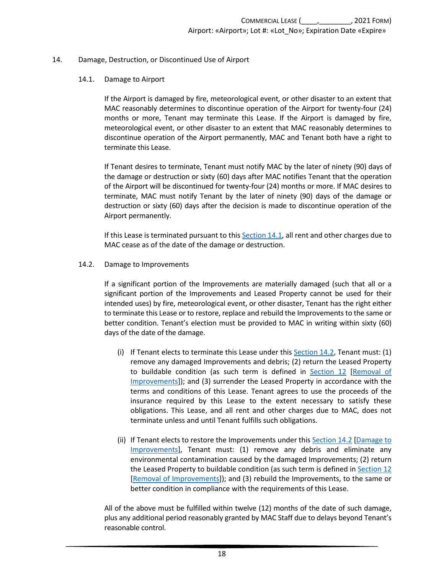#### <span id="page-21-1"></span><span id="page-21-0"></span>14. Damage, Destruction, or Discontinued Use of Airport

#### 14.1. Damage to Airport

If the Airport is damaged by fire, meteorological event, or other disaster to an extent that MAC reasonably determines to discontinue operation of the Airport for twenty-four (24) months or more, Tenant may terminate this Lease. If the Airport is damaged by fire, meteorological event, or other disaster to an extent that MAC reasonably determines to discontinue operation of the Airport permanently, MAC and Tenant both have a right to terminate this Lease.

If Tenant desires to terminate, Tenant must notify MAC by the later of ninety (90) days of the damage or destruction or sixty (60) days after MAC notifies Tenant that the operation of the Airport will be discontinued for twenty-four (24) months or more. If MAC desires to terminate, MAC must notify Tenant by the later of ninety (90) days of the damage or destruction or sixty (60) days after the decision is made to discontinue operation of the Airport permanently.

If this Lease is terminated pursuant to this [Section 14.1,](#page-21-1) all rent and other charges due to MAC cease as of the date of the damage or destruction.

#### <span id="page-21-2"></span>14.2. Damage to Improvements

If a significant portion of the Improvements are materially damaged (such that all or a significant portion of the Improvements and Leased Property cannot be used for their intended uses) by fire, meteorological event, or other disaster, Tenant has the right either to terminate this Lease or to restore, replace and rebuild the Improvements to the same or better condition. Tenant's election must be provided to MAC in writing within sixty (60) days of the date of the damage.

- (i) If Tenant elects to terminate this Lease under this [Section](#page-21-2) 14.2, Tenant must: (1) remove any damaged Improvements and debris; (2) return the Leased Property to buildable condition (as such term is defined in [Section 12 \[Removal of](#page-17-3)  [Improvements\]](#page-17-3)); and (3) surrender the Leased Property in accordance with the terms and conditions of this Lease. Tenant agrees to use the proceeds of the insurance required by this Lease to the extent necessary to satisfy these obligations. This Lease, and all rent and other charges due to MAC, does not terminate unless and until Tenant fulfills such obligations.
- (ii) If Tenant elects to restore the Improvements under thi[s Section](#page-21-2) 14.2 [\[Damage to](#page-21-2)  [Improvements\]](#page-21-2), Tenant must: (1) remove any debris and eliminate any environmental contamination caused by the damaged Improvements; (2) return the Leased Property to buildable condition (as such term is defined in [Section 12](#page-17-3) [\[Removal of Improvements\]](#page-17-3)); and (3) rebuild the Improvements, to the same or better condition in compliance with the requirements of this Lease.

All of the above must be fulfilled within twelve (12) months of the date of such damage, plus any additional period reasonably granted by MAC Staff due to delays beyond Tenant's reasonable control.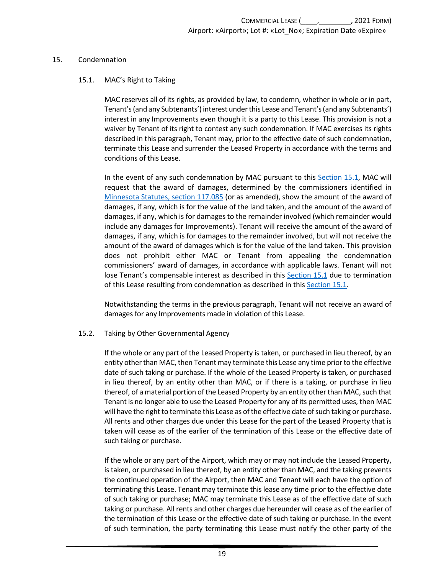#### <span id="page-22-1"></span><span id="page-22-0"></span>15. Condemnation

#### 15.1. MAC's Right to Taking

MAC reserves all of its rights, as provided by law, to condemn, whether in whole or in part, Tenant's (and any Subtenants') interest under this Lease and Tenant's (and any Subtenants') interest in any Improvements even though it is a party to this Lease. This provision is not a waiver by Tenant of its right to contest any such condemnation. If MAC exercises its rights described in this paragraph, Tenant may, prior to the effective date of such condemnation, terminate this Lease and surrender the Leased Property in accordance with the terms and conditions of this Lease.

In the event of any such condemnation by MAC pursuant to this [Section 15.1,](#page-22-1) MAC will request that the award of damages, determined by the commissioners identified in [Minnesota Statutes, section](https://www.revisor.mn.gov/statutes/cite/117.085) 117.085 (or as amended), show the amount of the award of damages, if any, which is for the value of the land taken, and the amount of the award of damages, if any, which is for damages to the remainder involved (which remainder would include any damages for Improvements). Tenant will receive the amount of the award of damages, if any, which is for damages to the remainder involved, but will not receive the amount of the award of damages which is for the value of the land taken. This provision does not prohibit either MAC or Tenant from appealing the condemnation commissioners' award of damages, in accordance with applicable laws. Tenant will not lose Tenant's compensable interest as described in this [Section 15.1](#page-22-1) due to termination of this Lease resulting from condemnation as described in this [Section 15.1.](#page-22-1)

Notwithstanding the terms in the previous paragraph, Tenant will not receive an award of damages for any Improvements made in violation of this Lease.

#### <span id="page-22-2"></span>15.2. Taking by Other Governmental Agency

If the whole or any part of the Leased Property is taken, or purchased in lieu thereof, by an entity other than MAC, then Tenant may terminate this Lease any time prior to the effective date of such taking or purchase. If the whole of the Leased Property is taken, or purchased in lieu thereof, by an entity other than MAC, or if there is a taking, or purchase in lieu thereof, of a material portion of the Leased Property by an entity other than MAC, such that Tenant is no longer able to use the Leased Property for any of its permitted uses, then MAC will have the right to terminate this Lease as of the effective date of such taking or purchase. All rents and other charges due under this Lease for the part of the Leased Property that is taken will cease as of the earlier of the termination of this Lease or the effective date of such taking or purchase.

If the whole or any part of the Airport, which may or may not include the Leased Property, is taken, or purchased in lieu thereof, by an entity other than MAC, and the taking prevents the continued operation of the Airport, then MAC and Tenant will each have the option of terminating this Lease. Tenant may terminate this lease any time prior to the effective date of such taking or purchase; MAC may terminate this Lease as of the effective date of such taking or purchase. All rents and other charges due hereunder will cease as of the earlier of the termination of this Lease or the effective date of such taking or purchase. In the event of such termination, the party terminating this Lease must notify the other party of the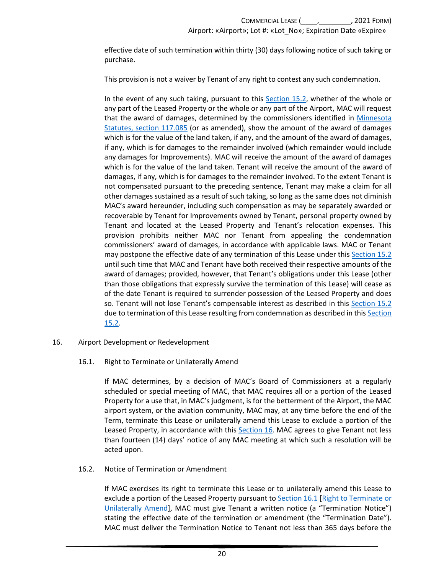effective date of such termination within thirty (30) days following notice of such taking or purchase.

This provision is not a waiver by Tenant of any right to contest any such condemnation.

In the event of any such taking, pursuant to this [Section 15.2,](#page-22-2) whether of the whole or any part of the Leased Property or the whole or any part of the Airport, MAC will request that the award of damages, determined by the commissioners identified in [Minnesota](https://www.revisor.mn.gov/statutes/cite/117.085)  [Statutes, section](https://www.revisor.mn.gov/statutes/cite/117.085) 117.085 (or as amended), show the amount of the award of damages which is for the value of the land taken, if any, and the amount of the award of damages, if any, which is for damages to the remainder involved (which remainder would include any damages for Improvements). MAC will receive the amount of the award of damages which is for the value of the land taken. Tenant will receive the amount of the award of damages, if any, which is for damages to the remainder involved. To the extent Tenant is not compensated pursuant to the preceding sentence, Tenant may make a claim for all other damages sustained as a result of such taking, so long as the same does not diminish MAC's award hereunder, including such compensation as may be separately awarded or recoverable by Tenant for Improvements owned by Tenant, personal property owned by Tenant and located at the Leased Property and Tenant's relocation expenses. This provision prohibits neither MAC nor Tenant from appealing the condemnation commissioners' award of damages, in accordance with applicable laws. MAC or Tenant may postpone the effective date of any termination of this Lease under this [Section 15.2](#page-22-2) until such time that MAC and Tenant have both received their respective amounts of the award of damages; provided, however, that Tenant's obligations under this Lease (other than those obligations that expressly survive the termination of this Lease) will cease as of the date Tenant is required to surrender possession of the Leased Property and does so. Tenant will not lose Tenant's compensable interest as described in this [Section 15.2](#page-22-2) due to termination of this Lease resulting from condemnation as described in this [Section](#page-22-2)  [15.2.](#page-22-2)

#### <span id="page-23-1"></span><span id="page-23-0"></span>16. Airport Development or Redevelopment

### 16.1. Right to Terminate or Unilaterally Amend

If MAC determines, by a decision of MAC's Board of Commissioners at a regularly scheduled or special meeting of MAC, that MAC requires all or a portion of the Leased Property for a use that, in MAC's judgment, is for the betterment of the Airport, the MAC airport system, or the aviation community, MAC may, at any time before the end of the Term, terminate this Lease or unilaterally amend this Lease to exclude a portion of the Leased Property, in accordance with this **Section 16**. MAC agrees to give Tenant not less than fourteen (14) days' notice of any MAC meeting at which such a resolution will be acted upon.

#### <span id="page-23-2"></span>16.2. Notice of Termination or Amendment

If MAC exercises its right to terminate this Lease or to unilaterally amend this Lease to exclude a portion of the Leased Property pursuant to Section 16.1 [Right to Terminate or [Unilaterally Amend\]](#page-23-1), MAC must give Tenant a written notice (a "Termination Notice") stating the effective date of the termination or amendment (the "Termination Date"). MAC must deliver the Termination Notice to Tenant not less than 365 days before the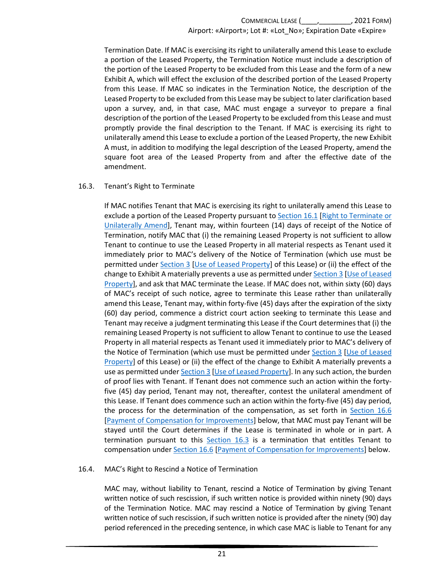Termination Date. If MAC is exercising its right to unilaterally amend this Lease to exclude a portion of the Leased Property, the Termination Notice must include a description of the portion of the Leased Property to be excluded from this Lease and the form of a new Exhibit A, which will effect the exclusion of the described portion of the Leased Property from this Lease. If MAC so indicates in the Termination Notice, the description of the Leased Property to be excluded from this Lease may be subject to later clarification based upon a survey, and, in that case, MAC must engage a surveyor to prepare a final description of the portion of the Leased Property to be excluded from this Lease and must promptly provide the final description to the Tenant. If MAC is exercising its right to unilaterally amend this Lease to exclude a portion of the Leased Property, the new Exhibit A must, in addition to modifying the legal description of the Leased Property, amend the square foot area of the Leased Property from and after the effective date of the amendment.

### <span id="page-24-0"></span>16.3. Tenant's Right to Terminate

If MAC notifies Tenant that MAC is exercising its right to unilaterally amend this Lease to exclude a portion of the Leased Property pursuant to [Section 16.1](#page-23-1) [Right to Terminate or [Unilaterally Amend\]](#page-23-1), Tenant may, within fourteen (14) days of receipt of the Notice of Termination, notify MAC that (i) the remaining Leased Property is not sufficient to allow Tenant to continue to use the Leased Property in all material respects as Tenant used it immediately prior to MAC's delivery of the Notice of Termination (which use must be permitted under [Section 3 \[Use of Leased Property\]](#page-6-0) of this Lease) or (ii) the effect of the change to Exhibit A materially prevents a use as permitted unde[r Section 3 \[Use of Leased](#page-6-0)  [Property\]](#page-6-0), and ask that MAC terminate the Lease. If MAC does not, within sixty (60) days of MAC's receipt of such notice, agree to terminate this Lease rather than unilaterally amend this Lease, Tenant may, within forty-five (45) days after the expiration of the sixty (60) day period, commence a district court action seeking to terminate this Lease and Tenant may receive a judgment terminating this Lease if the Court determines that (i) the remaining Leased Property is not sufficient to allow Tenant to continue to use the Leased Property in all material respects as Tenant used it immediately prior to MAC's delivery of the Notice of Termination (which use must be permitted under [Section 3 \[Use of Leased](#page-6-0)  [Property\]](#page-6-0) of this Lease) or (ii) the effect of the change to Exhibit A materially prevents a use as permitted unde[r Section 3 \[Use of Leased Property\]](#page-6-0). In any such action, the burden of proof lies with Tenant. If Tenant does not commence such an action within the fortyfive (45) day period, Tenant may not, thereafter, contest the unilateral amendment of this Lease. If Tenant does commence such an action within the forty-five (45) day period, the process for the determination of the compensation, as set forth in [Section 16.6](#page-25-1) [\[Payment of Compensation for Improvements\]](#page-25-1) below, that MAC must pay Tenant will be stayed until the Court determines if the Lease is terminated in whole or in part. A termination pursuant to this [Section 16.3](#page-24-0) is a termination that entitles Tenant to compensation under [Section 16.6 \[Payment of Compensation for Improvements\]](#page-25-1) below.

### <span id="page-24-1"></span>16.4. MAC's Right to Rescind a Notice of Termination

MAC may, without liability to Tenant, rescind a Notice of Termination by giving Tenant written notice of such rescission, if such written notice is provided within ninety (90) days of the Termination Notice. MAC may rescind a Notice of Termination by giving Tenant written notice of such rescission, if such written notice is provided after the ninety (90) day period referenced in the preceding sentence, in which case MAC is liable to Tenant for any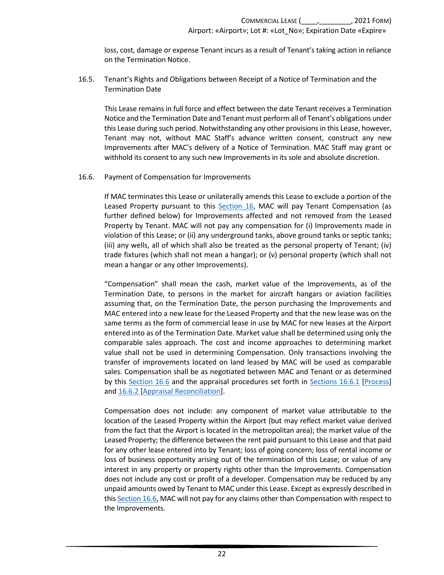loss, cost, damage or expense Tenant incurs as a result of Tenant's taking action in reliance on the Termination Notice.

<span id="page-25-0"></span>16.5. Tenant's Rights and Obligations between Receipt of a Notice of Termination and the Termination Date

This Lease remains in full force and effect between the date Tenant receives a Termination Notice and the Termination Date and Tenant must perform all of Tenant's obligations under this Lease during such period. Notwithstanding any other provisions in this Lease, however, Tenant may not, without MAC Staff's advance written consent, construct any new Improvements after MAC's delivery of a Notice of Termination. MAC Staff may grant or withhold its consent to any such new Improvements in its sole and absolute discretion.

#### <span id="page-25-1"></span>16.6. Payment of Compensation for Improvements

If MAC terminates this Lease or unilaterally amends this Lease to exclude a portion of the Leased Property pursuant to this [Section 16,](#page-23-0) MAC will pay Tenant Compensation (as further defined below) for Improvements affected and not removed from the Leased Property by Tenant. MAC will not pay any compensation for (i) Improvements made in violation of this Lease; or (ii) any underground tanks, above ground tanks or septic tanks; (iii) any wells, all of which shall also be treated as the personal property of Tenant; (iv) trade fixtures (which shall not mean a hangar); or (v) personal property (which shall not mean a hangar or any other Improvements).

"Compensation" shall mean the cash, market value of the Improvements, as of the Termination Date, to persons in the market for aircraft hangars or aviation facilities assuming that, on the Termination Date, the person purchasing the Improvements and MAC entered into a new lease for the Leased Property and that the new lease was on the same terms as the form of commercial lease in use by MAC for new leases at the Airport entered into as of the Termination Date. Market value shall be determined using only the comparable sales approach. The cost and income approaches to determining market value shall not be used in determining Compensation. Only transactions involving the transfer of improvements located on land leased by MAC will be used as comparable sales. Compensation shall be as negotiated between MAC and Tenant or as determined by this [Section 16.6](#page-25-1) and the appraisal procedures set forth in [Sections 16.6.1 \[Process\]](#page-26-0) and [16.6.2](#page-27-0) [\[Appraisal Reconciliation\]](#page-27-0).

Compensation does not include: any component of market value attributable to the location of the Leased Property within the Airport (but may reflect market value derived from the fact that the Airport is located in the metropolitan area); the market value of the Leased Property; the difference between the rent paid pursuant to this Lease and that paid for any other lease entered into by Tenant; loss of going concern; loss of rental income or loss of business opportunity arising out of the termination of this Lease; or value of any interest in any property or property rights other than the Improvements. Compensation does not include any cost or profit of a developer. Compensation may be reduced by any unpaid amounts owed by Tenant to MAC under this Lease. Except as expressly described in this [Section 16.6,](#page-25-1) MAC will not pay for any claims other than Compensation with respect to the Improvements.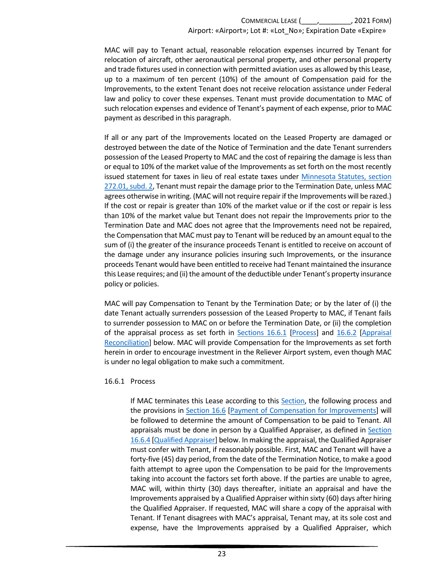MAC will pay to Tenant actual, reasonable relocation expenses incurred by Tenant for relocation of aircraft, other aeronautical personal property, and other personal property and trade fixtures used in connection with permitted aviation uses as allowed by this Lease, up to a maximum of ten percent (10%) of the amount of Compensation paid for the Improvements, to the extent Tenant does not receive relocation assistance under Federal law and policy to cover these expenses. Tenant must provide documentation to MAC of such relocation expenses and evidence of Tenant's payment of each expense, prior to MAC payment as described in this paragraph.

If all or any part of the Improvements located on the Leased Property are damaged or destroyed between the date of the Notice of Termination and the date Tenant surrenders possession of the Leased Property to MAC and the cost of repairing the damage is less than or equal to 10% of the market value of the Improvements as set forth on the most recently issued statement for taxes in lieu of real estate taxes under [Minnesota Statutes, section](https://www.revisor.mn.gov/statutes/cite/272.01#stat.272.01.2)  [272.01, subd. 2,](https://www.revisor.mn.gov/statutes/cite/272.01#stat.272.01.2) Tenant must repair the damage prior to the Termination Date, unless MAC agrees otherwise in writing. (MAC will not require repair if the Improvements will be razed.) If the cost or repair is greater than 10% of the market value or if the cost or repair is less than 10% of the market value but Tenant does not repair the Improvements prior to the Termination Date and MAC does not agree that the Improvements need not be repaired, the Compensation that MAC must pay to Tenant will be reduced by an amount equal to the sum of (i) the greater of the insurance proceeds Tenant is entitled to receive on account of the damage under any insurance policies insuring such Improvements, or the insurance proceeds Tenant would have been entitled to receive had Tenant maintained the insurance this Lease requires; and (ii) the amount of the deductible under Tenant's property insurance policy or policies.

MAC will pay Compensation to Tenant by the Termination Date; or by the later of (i) the date Tenant actually surrenders possession of the Leased Property to MAC, if Tenant fails to surrender possession to MAC on or before the Termination Date, or (ii) the completion of the appraisal process as set forth in [Sections 16.6.1 \[Process\]](#page-26-0) and [16.6.2 \[Appraisal](#page-27-0)  [Reconciliation\]](#page-27-0) below. MAC will provide Compensation for the Improvements as set forth herein in order to encourage investment in the Reliever Airport system, even though MAC is under no legal obligation to make such a commitment.

#### <span id="page-26-0"></span>16.6.1 Process

If MAC terminates this Lease according to this [Section,](#page-26-0) the following process and the provisions in [Section 16.6 \[Payment of Compensation for Improvements\]](#page-25-1) will be followed to determine the amount of Compensation to be paid to Tenant. All appraisals must be done in person by a Qualified Appraiser, as defined in [Section](#page-28-4)  [16.6.4 \[Qualified Appraiser\]](#page-28-4) below. In making the appraisal, the Qualified Appraiser must confer with Tenant, if reasonably possible. First, MAC and Tenant will have a forty-five (45) day period, from the date of the Termination Notice, to make a good faith attempt to agree upon the Compensation to be paid for the Improvements taking into account the factors set forth above. If the parties are unable to agree, MAC will, within thirty (30) days thereafter, initiate an appraisal and have the Improvements appraised by a Qualified Appraiser within sixty (60) days after hiring the Qualified Appraiser. If requested, MAC will share a copy of the appraisal with Tenant. If Tenant disagrees with MAC's appraisal, Tenant may, at its sole cost and expense, have the Improvements appraised by a Qualified Appraiser, which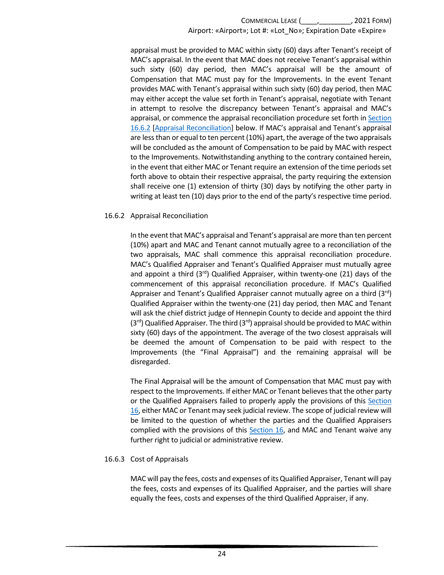appraisal must be provided to MAC within sixty (60) days after Tenant's receipt of MAC's appraisal. In the event that MAC does not receive Tenant's appraisal within such sixty (60) day period, then MAC's appraisal will be the amount of Compensation that MAC must pay for the Improvements. In the event Tenant provides MAC with Tenant's appraisal within such sixty (60) day period, then MAC may either accept the value set forth in Tenant's appraisal, negotiate with Tenant in attempt to resolve the discrepancy between Tenant's appraisal and MAC's appraisal, or commence the appraisal reconciliation procedure set forth i[n Section](#page-27-0)  [16.6.2](#page-27-0) [Appraisal [Reconciliation\]](#page-27-0) below. If MAC's appraisal and Tenant's appraisal are less than or equal to ten percent (10%) apart, the average of the two appraisals will be concluded as the amount of Compensation to be paid by MAC with respect to the Improvements. Notwithstanding anything to the contrary contained herein, in the event that either MAC or Tenant require an extension of the time periods set forth above to obtain their respective appraisal, the party requiring the extension shall receive one (1) extension of thirty (30) days by notifying the other party in writing at least ten (10) days prior to the end of the party's respective time period.

### <span id="page-27-0"></span>16.6.2 Appraisal Reconciliation

In the event that MAC's appraisal and Tenant's appraisal are more than ten percent (10%) apart and MAC and Tenant cannot mutually agree to a reconciliation of the two appraisals, MAC shall commence this appraisal reconciliation procedure. MAC's Qualified Appraiser and Tenant's Qualified Appraiser must mutually agree and appoint a third  $(3<sup>rd</sup>)$  Qualified Appraiser, within twenty-one  $(21)$  days of the commencement of this appraisal reconciliation procedure. If MAC's Qualified Appraiser and Tenant's Qualified Appraiser cannot mutually agree on a third  $(3<sup>rd</sup>)$ Qualified Appraiser within the twenty-one (21) day period, then MAC and Tenant will ask the chief district judge of Hennepin County to decide and appoint the third  $(3<sup>rd</sup>)$  Qualified Appraiser. The third  $(3<sup>rd</sup>)$  appraisal should be provided to MAC within sixty (60) days of the appointment. The average of the two closest appraisals will be deemed the amount of Compensation to be paid with respect to the Improvements (the "Final Appraisal") and the remaining appraisal will be disregarded.

The Final Appraisal will be the amount of Compensation that MAC must pay with respect to the Improvements. If either MAC or Tenant believes that the other party or the Qualified Appraisers failed to properly apply the provisions of this Section [16,](#page-23-0) either MAC or Tenant may seek judicial review. The scope of judicial review will be limited to the question of whether the parties and the Qualified Appraisers complied with the provisions of this [Section 16,](#page-23-0) and MAC and Tenant waive any further right to judicial or administrative review.

### 16.6.3 Cost of Appraisals

MAC will pay the fees, costs and expenses of its Qualified Appraiser, Tenant will pay the fees, costs and expenses of its Qualified Appraiser, and the parties will share equally the fees, costs and expenses of the third Qualified Appraiser, if any.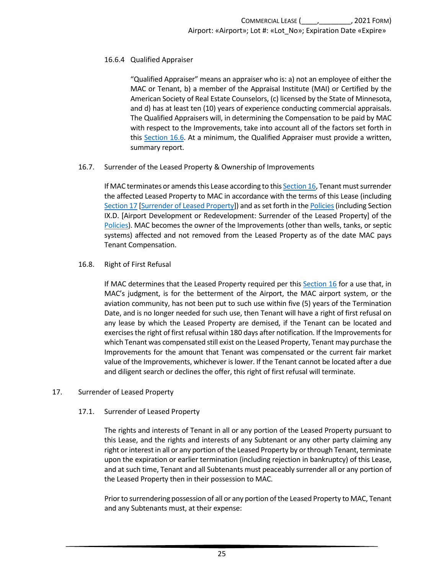### <span id="page-28-4"></span>16.6.4 Qualified Appraiser

"Qualified Appraiser" means an appraiser who is: a) not an employee of either the MAC or Tenant, b) a member of the Appraisal Institute (MAI) or Certified by the American Society of Real Estate Counselors, (c) licensed by the State of Minnesota, and d) has at least ten (10) years of experience conducting commercial appraisals. The Qualified Appraisers will, in determining the Compensation to be paid by MAC with respect to the Improvements, take into account all of the factors set forth in this [Section 16.6.](#page-25-1) At a minimum, the Qualified Appraiser must provide a written, summary report.

#### <span id="page-28-0"></span>16.7. Surrender of the Leased Property & Ownership of Improvements

If MAC terminates or amends this Lease according to thi[s Section 16,](#page-23-0) Tenant must surrender the affected Leased Property to MAC in accordance with the terms of this Lease (including [Section 17 \[Surrender of Leased Property\]](#page-28-2)) and as set forth in the Policies (including Section IX.D. [Airport Development or Redevelopment: Surrender of the Leased Property] of the [Policies\)](https://metroairports.org/our-airports/airport-administration). MAC becomes the owner of the Improvements (other than wells, tanks, or septic systems) affected and not removed from the Leased Property as of the date MAC pays Tenant Compensation.

### <span id="page-28-1"></span>16.8. Right of First Refusal

If MAC determines that the Leased Property required per this [Section 16](#page-23-0) for a use that, in MAC's judgment, is for the betterment of the Airport, the MAC airport system, or the aviation community, has not been put to such use within five (5) years of the Termination Date, and is no longer needed for such use, then Tenant will have a right of first refusal on any lease by which the Leased Property are demised, if the Tenant can be located and exercises the right of first refusal within 180 days after notification. If the Improvements for which Tenant was compensated still exist on the Leased Property, Tenant may purchase the Improvements for the amount that Tenant was compensated or the current fair market value of the Improvements, whichever is lower. If the Tenant cannot be located after a due and diligent search or declines the offer, this right of first refusal will terminate.

#### <span id="page-28-3"></span><span id="page-28-2"></span>17. Surrender of Leased Property

### 17.1. Surrender of Leased Property

The rights and interests of Tenant in all or any portion of the Leased Property pursuant to this Lease, and the rights and interests of any Subtenant or any other party claiming any right or interest in all or any portion of the Leased Property by or through Tenant, terminate upon the expiration or earlier termination (including rejection in bankruptcy) of this Lease, and at such time, Tenant and all Subtenants must peaceably surrender all or any portion of the Leased Property then in their possession to MAC.

Prior to surrendering possession of all or any portion of the Leased Property to MAC, Tenant and any Subtenants must, at their expense: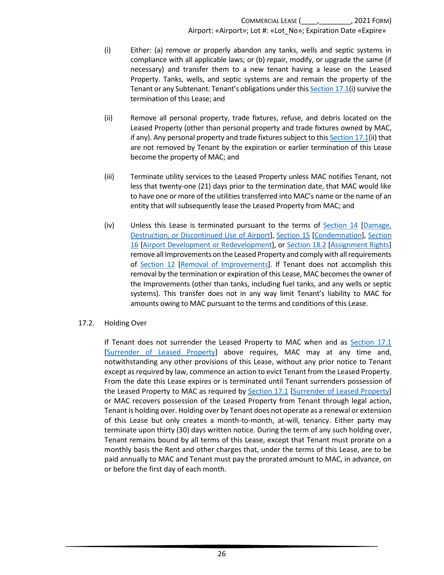- (i) Either: (a) remove or properly abandon any tanks, wells and septic systems in compliance with all applicable laws; or (b) repair, modify, or upgrade the same (if necessary) and transfer them to a new tenant having a lease on the Leased Property. Tanks, wells, and septic systems are and remain the property of the Tenant or any Subtenant. Tenant's obligations under thi[s Section 17.1\(](#page-28-3)i) survive the termination of this Lease; and
- (ii) Remove all personal property, trade fixtures, refuse, and debris located on the Leased Property (other than personal property and trade fixtures owned by MAC, if any). Any personal property and trade fixtures subject to this [Section 17.1\(](#page-28-3)ii) that are not removed by Tenant by the expiration or earlier termination of this Lease become the property of MAC; and
- (iii) Terminate utility services to the Leased Property unless MAC notifies Tenant, not less that twenty-one (21) days prior to the termination date, that MAC would like to have one or more of the utilities transferred into MAC's name or the name of an entity that will subsequently lease the Leased Property from MAC; and
- (iv) Unless this Lease is terminated pursuant to the terms of [Section 14 \[Damage,](#page-21-0)  [Destruction, or Discontinued Use of Airport\]](#page-21-0), [Section 15 \[Condemnation\]](#page-22-0), [Section](#page-23-0)  [16 \[Airport Development or Redevelopment\]](#page-23-0), or [Section 18.2 \[Assignment Rights\]](#page-30-2) remove all Improvements on the Leased Property and comply with all requirements of [Section 12 \[Removal of Improvements\]](#page-17-3). If Tenant does not accomplish this removal by the termination or expiration of this Lease, MAC becomes the owner of the Improvements (other than tanks, including fuel tanks, and any wells or septic systems). This transfer does not in any way limit Tenant's liability to MAC for amounts owing to MAC pursuant to the terms and conditions of this Lease.

#### <span id="page-29-0"></span>17.2. Holding Over

If Tenant does not surrender the Leased Property to MAC when and as [Section 17.1](#page-28-3) [\[Surrender of Leased Property\]](#page-28-3) above requires, MAC may at any time and, notwithstanding any other provisions of this Lease, without any prior notice to Tenant except as required by law, commence an action to evict Tenant from the Leased Property. From the date this Lease expires or is terminated until Tenant surrenders possession of the Leased Property to MAC as required by [Section 17.1 \[Surrender of Leased Property\]](#page-28-3) or MAC recovers possession of the Leased Property from Tenant through legal action, Tenant is holding over. Holding over by Tenant does not operate as a renewal or extension of this Lease but only creates a month-to-month, at-will, tenancy. Either party may terminate upon thirty (30) days written notice. During the term of any such holding over, Tenant remains bound by all terms of this Lease, except that Tenant must prorate on a monthly basis the Rent and other charges that, under the terms of this Lease, are to be paid annually to MAC and Tenant must pay the prorated amount to MAC, in advance, on or before the first day of each month.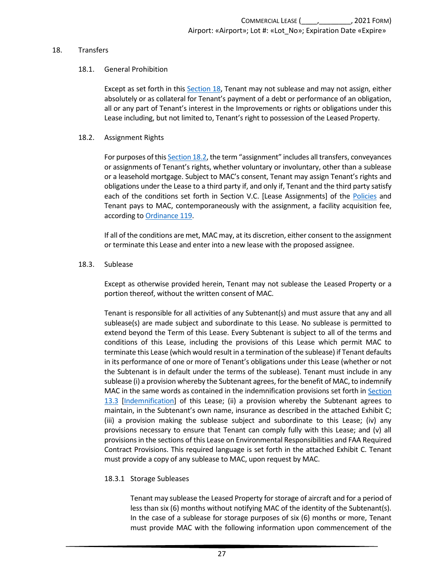#### <span id="page-30-1"></span><span id="page-30-0"></span>18. Transfers

#### 18.1. General Prohibition

Except as set forth in this [Section 18,](#page-30-0) Tenant may not sublease and may not assign, either absolutely or as collateral for Tenant's payment of a debt or performance of an obligation, all or any part of Tenant's interest in the Improvements or rights or obligations under this Lease including, but not limited to, Tenant's right to possession of the Leased Property.

#### <span id="page-30-2"></span>18.2. Assignment Rights

For purposes of thi[s Section 18.2,](#page-30-2) the term "assignment" includes all transfers, conveyances or assignments of Tenant's rights, whether voluntary or involuntary, other than a sublease or a leasehold mortgage. Subject to MAC's consent, Tenant may assign Tenant's rights and obligations under the Lease to a third party if, and only if, Tenant and the third party satisfy each of the conditions set forth in Section V.C. [Lease Assignments] of the [Policies](https://metroairports.org/our-airports/airport-administration) and Tenant pays to MAC, contemporaneously with the assignment, a facility acquisition fee, according t[o Ordinance 119.](https://metroairports.org/documents/ordinances/ordinance-119)

If all of the conditions are met, MAC may, at its discretion, either consent to the assignment or terminate this Lease and enter into a new lease with the proposed assignee.

#### <span id="page-30-3"></span>18.3. Sublease

Except as otherwise provided herein, Tenant may not sublease the Leased Property or a portion thereof, without the written consent of MAC.

Tenant is responsible for all activities of any Subtenant(s) and must assure that any and all sublease(s) are made subject and subordinate to this Lease. No sublease is permitted to extend beyond the Term of this Lease. Every Subtenant is subject to all of the terms and conditions of this Lease, including the provisions of this Lease which permit MAC to terminate this Lease (which would result in a termination of the sublease) if Tenant defaults in its performance of one or more of Tenant's obligations under this Lease (whether or not the Subtenant is in default under the terms of the sublease). Tenant must include in any sublease (i) a provision whereby the Subtenant agrees, for the benefit of MAC, to indemnify MAC in the same words as contained in the indemnification provisions set forth in Section [13.3 \[Indemnification\]](#page-20-0) of this Lease; (ii) a provision whereby the Subtenant agrees to maintain, in the Subtenant's own name, insurance as described in the attached Exhibit C; (iii) a provision making the sublease subject and subordinate to this Lease; (iv) any provisions necessary to ensure that Tenant can comply fully with this Lease; and (v) all provisions in the sections of this Lease on Environmental Responsibilities and FAA Required Contract Provisions. This required language is set forth in the attached Exhibit C. Tenant must provide a copy of any sublease to MAC, upon request by MAC.

#### 18.3.1 Storage Subleases

Tenant may sublease the Leased Property for storage of aircraft and for a period of less than six (6) months without notifying MAC of the identity of the Subtenant(s). In the case of a sublease for storage purposes of six (6) months or more, Tenant must provide MAC with the following information upon commencement of the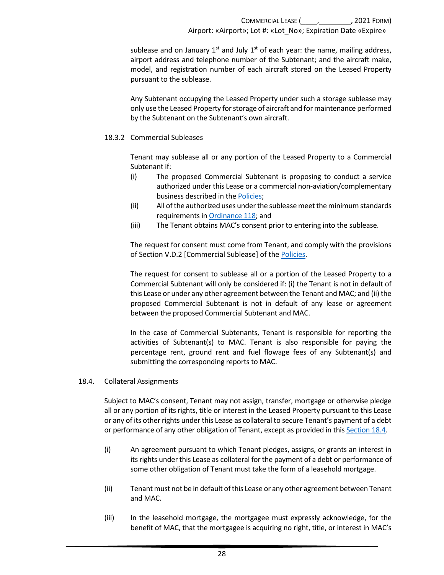sublease and on January  $1<sup>st</sup>$  and July  $1<sup>st</sup>$  of each year: the name, mailing address, airport address and telephone number of the Subtenant; and the aircraft make, model, and registration number of each aircraft stored on the Leased Property pursuant to the sublease.

Any Subtenant occupying the Leased Property under such a storage sublease may only use the Leased Property for storage of aircraft and for maintenance performed by the Subtenant on the Subtenant's own aircraft.

18.3.2 Commercial Subleases

Tenant may sublease all or any portion of the Leased Property to a Commercial Subtenant if:

- (i) The proposed Commercial Subtenant is proposing to conduct a service authorized under this Lease or a commercial non-aviation/complementary business described in th[e Policies;](https://metroairports.org/our-airports/airport-administration)
- (ii) All of the authorized uses under the sublease meet the minimum standards requirements i[n Ordinance 118;](https://metroairports.org/sites/default/files/2021-06/Ordinance-118.pdf) and
- (iii) The Tenant obtains MAC's consent prior to entering into the sublease.

The request for consent must come from Tenant, and comply with the provisions of Section V.D.2 [Commercial Sublease] of th[e Policies.](https://metroairports.org/our-airports/airport-administration)

The request for consent to sublease all or a portion of the Leased Property to a Commercial Subtenant will only be considered if: (i) the Tenant is not in default of this Lease or under any other agreement between the Tenant and MAC; and (ii) the proposed Commercial Subtenant is not in default of any lease or agreement between the proposed Commercial Subtenant and MAC.

In the case of Commercial Subtenants, Tenant is responsible for reporting the activities of Subtenant(s) to MAC. Tenant is also responsible for paying the percentage rent, ground rent and fuel flowage fees of any Subtenant(s) and submitting the corresponding reports to MAC.

<span id="page-31-0"></span>18.4. Collateral Assignments

Subject to MAC's consent, Tenant may not assign, transfer, mortgage or otherwise pledge all or any portion of its rights, title or interest in the Leased Property pursuant to this Lease or any of its other rights under this Lease as collateral to secure Tenant's payment of a debt or performance of any other obligation of Tenant, except as provided in this [Section](#page-31-0) 18.4.

- (i) An agreement pursuant to which Tenant pledges, assigns, or grants an interest in its rights under this Lease as collateral for the payment of a debt or performance of some other obligation of Tenant must take the form of a leasehold mortgage.
- (ii) Tenant must not be in default of this Lease or any other agreement between Tenant and MAC.
- (iii) In the leasehold mortgage, the mortgagee must expressly acknowledge, for the benefit of MAC, that the mortgagee is acquiring no right, title, or interest in MAC's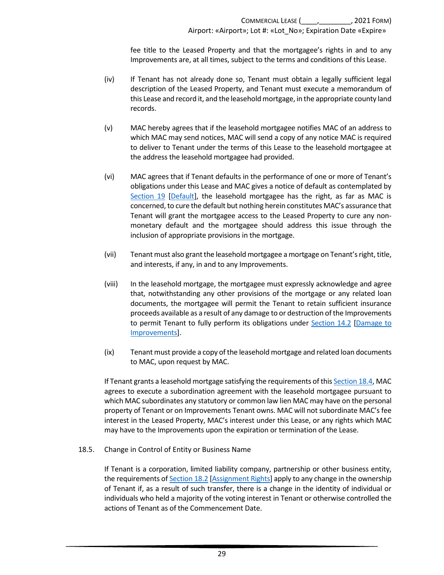fee title to the Leased Property and that the mortgagee's rights in and to any Improvements are, at all times, subject to the terms and conditions of this Lease.

- (iv) If Tenant has not already done so, Tenant must obtain a legally sufficient legal description of the Leased Property, and Tenant must execute a memorandum of this Lease and record it, and the leasehold mortgage, in the appropriate county land records.
- (v) MAC hereby agrees that if the leasehold mortgagee notifies MAC of an address to which MAC may send notices, MAC will send a copy of any notice MAC is required to deliver to Tenant under the terms of this Lease to the leasehold mortgagee at the address the leasehold mortgagee had provided.
- (vi) MAC agrees that if Tenant defaults in the performance of one or more of Tenant's obligations under this Lease and MAC gives a notice of default as contemplated by [Section 19 \[Default\]](#page-33-0), the leasehold mortgagee has the right, as far as MAC is concerned, to cure the default but nothing herein constitutes MAC's assurance that Tenant will grant the mortgagee access to the Leased Property to cure any nonmonetary default and the mortgagee should address this issue through the inclusion of appropriate provisions in the mortgage.
- (vii) Tenant must also grant the leasehold mortgagee a mortgage on Tenant's right, title, and interests, if any, in and to any Improvements.
- (viii) In the leasehold mortgage, the mortgagee must expressly acknowledge and agree that, notwithstanding any other provisions of the mortgage or any related loan documents, the mortgagee will permit the Tenant to retain sufficient insurance proceeds available as a result of any damage to or destruction of the Improvements to permit Tenant to fully perform its obligations under Section 14.2 [Damage to [Improvements\]](#page-21-2).
- (ix) Tenant must provide a copy of the leasehold mortgage and related loan documents to MAC, upon request by MAC.

If Tenant grants a leasehold mortgage satisfying the requirements of thi[s Section 18.4,](#page-31-0) MAC agrees to execute a subordination agreement with the leasehold mortgagee pursuant to which MAC subordinates any statutory or common law lien MAC may have on the personal property of Tenant or on Improvements Tenant owns. MAC will not subordinate MAC's fee interest in the Leased Property, MAC's interest under this Lease, or any rights which MAC may have to the Improvements upon the expiration or termination of the Lease.

<span id="page-32-0"></span>18.5. Change in Control of Entity or Business Name

If Tenant is a corporation, limited liability company, partnership or other business entity, the requirements o[f Section 18.2 \[Assignment Rights\]](#page-30-2) apply to any change in the ownership of Tenant if, as a result of such transfer, there is a change in the identity of individual or individuals who held a majority of the voting interest in Tenant or otherwise controlled the actions of Tenant as of the Commencement Date.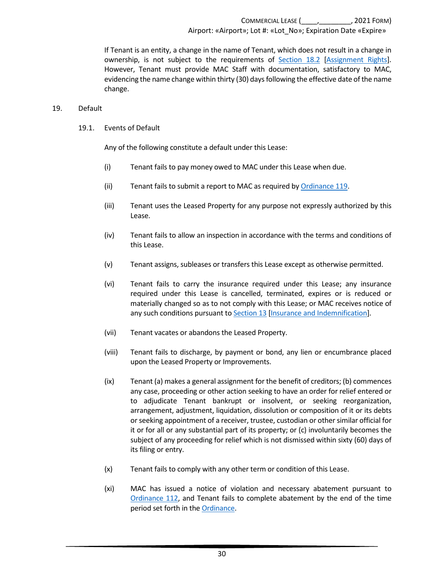If Tenant is an entity, a change in the name of Tenant, which does not result in a change in ownership, is not subject to the requirements of [Section 18.2 \[Assignment Rights\]](#page-30-2). However, Tenant must provide MAC Staff with documentation, satisfactory to MAC, evidencing the name change within thirty (30) days following the effective date of the name change.

#### <span id="page-33-1"></span><span id="page-33-0"></span>19. Default

#### 19.1. Events of Default

Any of the following constitute a default under this Lease:

- (i) Tenant fails to pay money owed to MAC under this Lease when due.
- (ii) Tenant fails to submit a report to MAC as required by [Ordinance 119.](https://metroairports.org/documents/ordinances/ordinance-119)
- (iii) Tenant uses the Leased Property for any purpose not expressly authorized by this Lease.
- (iv) Tenant fails to allow an inspection in accordance with the terms and conditions of this Lease.
- (v) Tenant assigns, subleases or transfers this Lease except as otherwise permitted.
- (vi) Tenant fails to carry the insurance required under this Lease; any insurance required under this Lease is cancelled, terminated, expires or is reduced or materially changed so as to not comply with this Lease; or MAC receives notice of any such conditions pursuant to [Section 13 \[Insurance and Indemnification\]](#page-18-0).
- (vii) Tenant vacates or abandons the Leased Property.
- (viii) Tenant fails to discharge, by payment or bond, any lien or encumbrance placed upon the Leased Property or Improvements.
- (ix) Tenant (a) makes a general assignment for the benefit of creditors; (b) commences any case, proceeding or other action seeking to have an order for relief entered or to adjudicate Tenant bankrupt or insolvent, or seeking reorganization, arrangement, adjustment, liquidation, dissolution or composition of it or its debts or seeking appointment of a receiver, trustee, custodian or other similar official for it or for all or any substantial part of its property; or (c) involuntarily becomes the subject of any proceeding for relief which is not dismissed within sixty (60) days of its filing or entry.
- (x) Tenant fails to comply with any other term or condition of this Lease.
- (xi) MAC has issued a notice of violation and necessary abatement pursuant to [Ordinance 112,](https://metroairports.org/documents/ordinances/ordinance-112) and Tenant fails to complete abatement by the end of the time period set forth in th[e Ordinance.](https://metroairports.org/documents/ordinances/ordinance-112)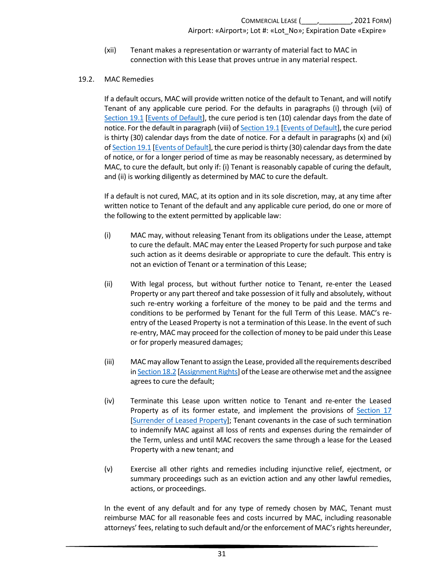(xii) Tenant makes a representation or warranty of material fact to MAC in connection with this Lease that proves untrue in any material respect.

#### <span id="page-34-0"></span>19.2. MAC Remedies

If a default occurs, MAC will provide written notice of the default to Tenant, and will notify Tenant of any applicable cure period. For the defaults in paragraphs (i) through (vii) of [Section 19.1 \[Events of Default\]](#page-33-1), the cure period is ten (10) calendar days from the date of notice. For the default in paragraph (viii) of [Section 19.1 \[Events of Default\]](#page-33-1), the cure period is thirty (30) calendar days from the date of notice. For a default in paragraphs (x) and (xi) o[f Section 19.1 \[Events of Default\]](#page-33-1), the cure period isthirty (30) calendar days from the date of notice, or for a longer period of time as may be reasonably necessary, as determined by MAC, to cure the default, but only if: (i) Tenant is reasonably capable of curing the default, and (ii) is working diligently as determined by MAC to cure the default.

If a default is not cured, MAC, at its option and in its sole discretion, may, at any time after written notice to Tenant of the default and any applicable cure period, do one or more of the following to the extent permitted by applicable law:

- (i) MAC may, without releasing Tenant from its obligations under the Lease, attempt to cure the default. MAC may enter the Leased Property for such purpose and take such action as it deems desirable or appropriate to cure the default. This entry is not an eviction of Tenant or a termination of this Lease;
- (ii) With legal process, but without further notice to Tenant, re-enter the Leased Property or any part thereof and take possession of it fully and absolutely, without such re-entry working a forfeiture of the money to be paid and the terms and conditions to be performed by Tenant for the full Term of this Lease. MAC's reentry of the Leased Property is not a termination of this Lease. In the event of such re-entry, MAC may proceed for the collection of money to be paid under this Lease or for properly measured damages;
- (iii) MAC may allow Tenant to assign the Lease, provided all the requirements described i[n Section 18.2 \[Assignment Rights\]](#page-30-2) of the Lease are otherwisemet and the assignee agrees to cure the default;
- (iv) Terminate this Lease upon written notice to Tenant and re-enter the Leased Property as of its former estate, and implement the provisions of [Section 17](#page-28-2) [\[Surrender of Leased Property\]](#page-28-2); Tenant covenants in the case of such termination to indemnify MAC against all loss of rents and expenses during the remainder of the Term, unless and until MAC recovers the same through a lease for the Leased Property with a new tenant; and
- (v) Exercise all other rights and remedies including injunctive relief, ejectment, or summary proceedings such as an eviction action and any other lawful remedies, actions, or proceedings.

In the event of any default and for any type of remedy chosen by MAC, Tenant must reimburse MAC for all reasonable fees and costs incurred by MAC, including reasonable attorneys' fees, relating to such default and/or the enforcement of MAC's rights hereunder,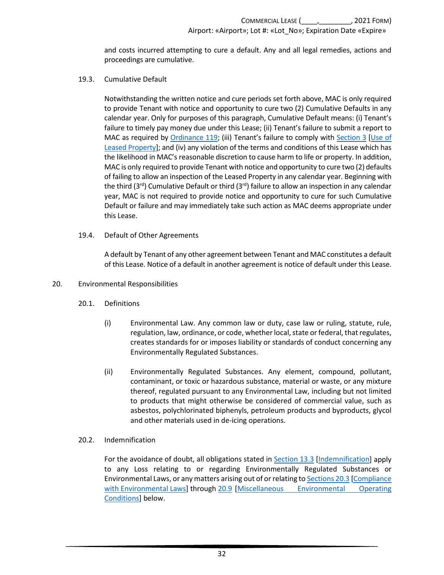and costs incurred attempting to cure a default. Any and all legal remedies, actions and proceedings are cumulative.

#### <span id="page-35-0"></span>19.3. Cumulative Default

Notwithstanding the written notice and cure periods set forth above, MAC is only required to provide Tenant with notice and opportunity to cure two (2) Cumulative Defaults in any calendar year. Only for purposes of this paragraph, Cumulative Default means: (i) Tenant's failure to timely pay money due under this Lease; (ii) Tenant's failure to submit a report to MAC as required by [Ordinance 119;](https://metroairports.org/documents/ordinances/ordinance-119) (iii) Tenant's failure to comply with [Section 3 \[Use of](#page-6-0)  [Leased Property\]](#page-6-0); and (iv) any violation of the terms and conditions of this Lease which has the likelihood in MAC's reasonable discretion to cause harm to life or property. In addition, MAC is only required to provide Tenant with notice and opportunity to cure two (2) defaults of failing to allow an inspection of the Leased Property in any calendar year. Beginning with the third ( $3<sup>rd</sup>$ ) Cumulative Default or third ( $3<sup>rd</sup>$ ) failure to allow an inspection in any calendar year, MAC is not required to provide notice and opportunity to cure for such Cumulative Default or failure and may immediately take such action as MAC deems appropriate under this Lease.

<span id="page-35-1"></span>19.4. Default of Other Agreements

A default by Tenant of any other agreement between Tenant and MAC constitutes a default of this Lease. Notice of a default in another agreement is notice of default under this Lease.

#### <span id="page-35-3"></span><span id="page-35-2"></span>20. Environmental Responsibilities

- 20.1. Definitions
	- (i) Environmental Law. Any common law or duty, case law or ruling, statute, rule, regulation, law, ordinance, or code, whether local, state or federal, that regulates, creates standards for or imposes liability or standards of conduct concerning any Environmentally Regulated Substances.
	- (ii) Environmentally Regulated Substances. Any element, compound, pollutant, contaminant, or toxic or hazardous substance, material or waste, or any mixture thereof, regulated pursuant to any Environmental Law, including but not limited to products that might otherwise be considered of commercial value, such as asbestos, polychlorinated biphenyls, petroleum products and byproducts, glycol and other materials used in de-icing operations.

#### <span id="page-35-4"></span>20.2. Indemnification

For the avoidance of doubt, all obligations stated in [Section 13.3 \[Indemnification\]](#page-20-0) apply to any Loss relating to or regarding Environmentally Regulated Substances or Environmental Laws, or any matters arising out of or relating t[o Sections 20.3 \[Compliance](#page-36-0)  [with Environmental Laws\]](#page-36-0) throug[h 20.9 \[Miscellaneous Environmental Operating](#page-38-0)  [Conditions\]](#page-38-0) below.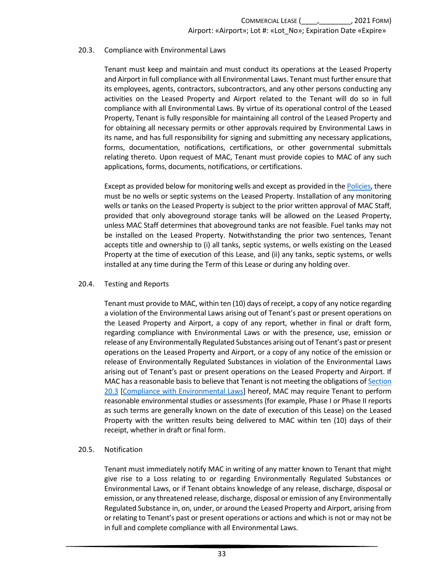#### <span id="page-36-0"></span>20.3. Compliance with Environmental Laws

Tenant must keep and maintain and must conduct its operations at the Leased Property and Airport in full compliance with all Environmental Laws. Tenant must further ensure that its employees, agents, contractors, subcontractors, and any other persons conducting any activities on the Leased Property and Airport related to the Tenant will do so in full compliance with all Environmental Laws. By virtue of its operational control of the Leased Property, Tenant is fully responsible for maintaining all control of the Leased Property and for obtaining all necessary permits or other approvals required by Environmental Laws in its name, and has full responsibility for signing and submitting any necessary applications, forms, documentation, notifications, certifications, or other governmental submittals relating thereto. Upon request of MAC, Tenant must provide copies to MAC of any such applications, forms, documents, notifications, or certifications.

Except as provided below for monitoring wells and except as provided in th[e Policies,](https://metroairports.org/our-airports/airport-administration) there must be no wells or septic systems on the Leased Property. Installation of any monitoring wells or tanks on the Leased Property is subject to the prior written approval of MAC Staff, provided that only aboveground storage tanks will be allowed on the Leased Property, unless MAC Staff determines that aboveground tanks are not feasible. Fuel tanks may not be installed on the Leased Property. Notwithstanding the prior two sentences, Tenant accepts title and ownership to (i) all tanks, septic systems, or wells existing on the Leased Property at the time of execution of this Lease, and (ii) any tanks, septic systems, or wells installed at any time during the Term of this Lease or during any holding over.

#### <span id="page-36-1"></span>20.4. Testing and Reports

Tenant must provide to MAC, within ten (10) days of receipt, a copy of any notice regarding a violation of the Environmental Laws arising out of Tenant's past or present operations on the Leased Property and Airport, a copy of any report, whether in final or draft form, regarding compliance with Environmental Laws or with the presence, use, emission or release of any Environmentally Regulated Substances arising out of Tenant's past or present operations on the Leased Property and Airport, or a copy of any notice of the emission or release of Environmentally Regulated Substances in violation of the Environmental Laws arising out of Tenant's past or present operations on the Leased Property and Airport. If MAC has a reasonable basis to believe that Tenant is not meeting the obligations o[f Section](#page-36-0)  [20.3 \[Compliance with Environmental Laws\]](#page-36-0) hereof, MAC may require Tenant to perform reasonable environmental studies or assessments (for example, Phase I or Phase II reports as such terms are generally known on the date of execution of this Lease) on the Leased Property with the written results being delivered to MAC within ten (10) days of their receipt, whether in draft or final form.

#### <span id="page-36-2"></span>20.5. Notification

Tenant must immediately notify MAC in writing of any matter known to Tenant that might give rise to a Loss relating to or regarding Environmentally Regulated Substances or Environmental Laws, or if Tenant obtains knowledge of any release, discharge, disposal or emission, or any threatened release, discharge, disposal or emission of any Environmentally Regulated Substance in, on, under, or around the Leased Property and Airport, arising from or relating to Tenant's past or present operations or actions and which is not or may not be in full and complete compliance with all Environmental Laws.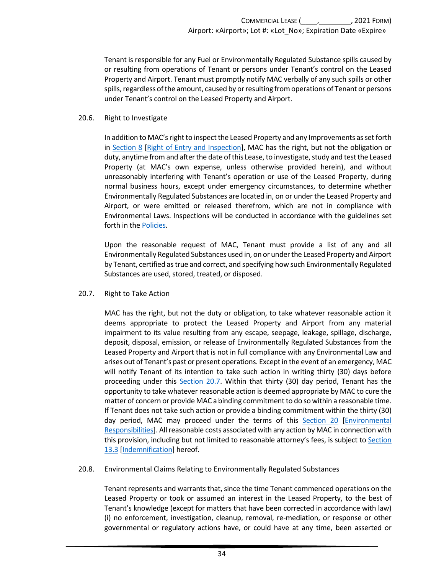Tenant is responsible for any Fuel or Environmentally Regulated Substance spills caused by or resulting from operations of Tenant or persons under Tenant's control on the Leased Property and Airport. Tenant must promptly notify MAC verbally of any such spills or other spills, regardless of the amount, caused by or resulting from operations of Tenant or persons under Tenant's control on the Leased Property and Airport.

#### <span id="page-37-0"></span>20.6. Right to Investigate

In addition to MAC's right to inspect the Leased Property and any Improvements as set forth in [Section 8 \[Right of Entry and Inspection\]](#page-14-2), MAC has the right, but not the obligation or duty, anytime from and after the date of this Lease, to investigate, study and test the Leased Property (at MAC's own expense, unless otherwise provided herein), and without unreasonably interfering with Tenant's operation or use of the Leased Property, during normal business hours, except under emergency circumstances, to determine whether Environmentally Regulated Substances are located in, on or under the Leased Property and Airport, or were emitted or released therefrom, which are not in compliance with Environmental Laws. Inspections will be conducted in accordance with the guidelines set forth in the [Policies.](https://metroairports.org/our-airports/airport-administration)

Upon the reasonable request of MAC, Tenant must provide a list of any and all Environmentally Regulated Substances used in, on or under the Leased Property and Airport by Tenant, certified as true and correct, and specifying how such Environmentally Regulated Substances are used, stored, treated, or disposed.

#### <span id="page-37-1"></span>20.7. Right to Take Action

MAC has the right, but not the duty or obligation, to take whatever reasonable action it deems appropriate to protect the Leased Property and Airport from any material impairment to its value resulting from any escape, seepage, leakage, spillage, discharge, deposit, disposal, emission, or release of Environmentally Regulated Substances from the Leased Property and Airport that is not in full compliance with any Environmental Law and arises out of Tenant's past or present operations. Except in the event of an emergency, MAC will notify Tenant of its intention to take such action in writing thirty (30) days before proceeding under this **Section 20.7**. Within that thirty (30) day period, Tenant has the opportunity to take whatever reasonable action is deemed appropriate by MAC to cure the matter of concern or provide MAC a binding commitment to do so within a reasonable time. If Tenant does not take such action or provide a binding commitment within the thirty (30) day period, MAC may proceed under the terms of this [Section 20 \[Environmental](#page-35-2)  [Responsibilities\]](#page-35-2). All reasonable costs associated with any action by MAC in connection with this provision, including but not limited to reasonable attorney's fees, is subject t[o Section](#page-20-0)  [13.3 \[Indemnification\]](#page-20-0) hereof.

#### <span id="page-37-2"></span>20.8. Environmental Claims Relating to Environmentally Regulated Substances

Tenant represents and warrants that, since the time Tenant commenced operations on the Leased Property or took or assumed an interest in the Leased Property, to the best of Tenant's knowledge (except for matters that have been corrected in accordance with law) (i) no enforcement, investigation, cleanup, removal, re-mediation, or response or other governmental or regulatory actions have, or could have at any time, been asserted or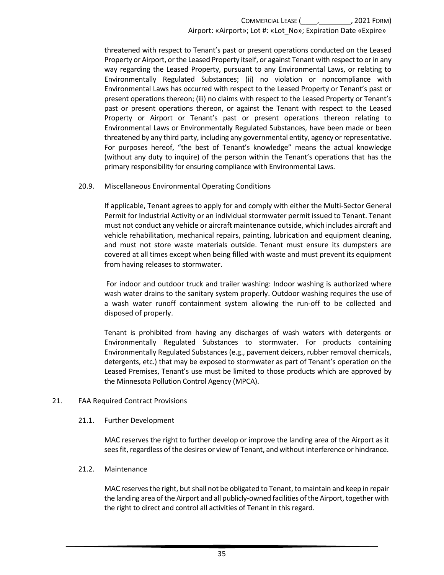threatened with respect to Tenant's past or present operations conducted on the Leased Property or Airport, or the Leased Property itself, or against Tenant with respect to or in any way regarding the Leased Property, pursuant to any Environmental Laws, or relating to Environmentally Regulated Substances; (ii) no violation or noncompliance with Environmental Laws has occurred with respect to the Leased Property or Tenant's past or present operations thereon; (iii) no claims with respect to the Leased Property or Tenant's past or present operations thereon, or against the Tenant with respect to the Leased Property or Airport or Tenant's past or present operations thereon relating to Environmental Laws or Environmentally Regulated Substances, have been made or been threatened by any third party, including any governmental entity, agency or representative. For purposes hereof, "the best of Tenant's knowledge" means the actual knowledge (without any duty to inquire) of the person within the Tenant's operations that has the primary responsibility for ensuring compliance with Environmental Laws.

#### <span id="page-38-0"></span>20.9. Miscellaneous Environmental Operating Conditions

If applicable, Tenant agrees to apply for and comply with either the Multi-Sector General Permit for Industrial Activity or an individual stormwater permit issued to Tenant. Tenant must not conduct any vehicle or aircraft maintenance outside, which includes aircraft and vehicle rehabilitation, mechanical repairs, painting, lubrication and equipment cleaning, and must not store waste materials outside. Tenant must ensure its dumpsters are covered at all times except when being filled with waste and must prevent its equipment from having releases to stormwater.

For indoor and outdoor truck and trailer washing: Indoor washing is authorized where wash water drains to the sanitary system properly. Outdoor washing requires the use of a wash water runoff containment system allowing the run-off to be collected and disposed of properly.

Tenant is prohibited from having any discharges of wash waters with detergents or Environmentally Regulated Substances to stormwater. For products containing Environmentally Regulated Substances (e.g., pavement deicers, rubber removal chemicals, detergents, etc.) that may be exposed to stormwater as part of Tenant's operation on the Leased Premises, Tenant's use must be limited to those products which are approved by the Minnesota Pollution Control Agency (MPCA).

#### <span id="page-38-2"></span><span id="page-38-1"></span>21. FAA Required Contract Provisions

#### 21.1. Further Development

MAC reserves the right to further develop or improve the landing area of the Airport as it sees fit, regardless of the desires or view of Tenant, and without interference or hindrance.

#### <span id="page-38-3"></span>21.2. Maintenance

MAC reserves the right, but shall not be obligated to Tenant, to maintain and keep in repair the landing area of the Airport and all publicly-owned facilities of the Airport, together with the right to direct and control all activities of Tenant in this regard.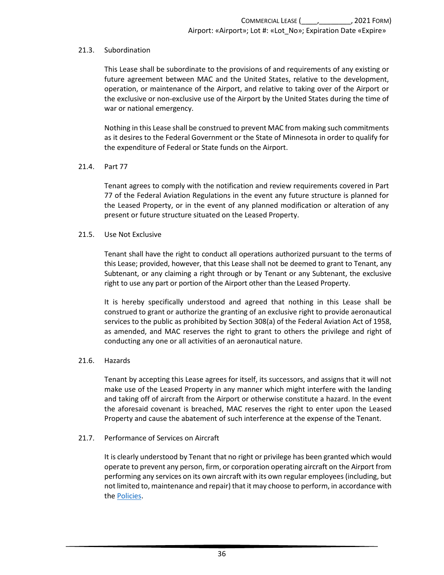#### <span id="page-39-0"></span>21.3. Subordination

This Lease shall be subordinate to the provisions of and requirements of any existing or future agreement between MAC and the United States, relative to the development, operation, or maintenance of the Airport, and relative to taking over of the Airport or the exclusive or non-exclusive use of the Airport by the United States during the time of war or national emergency.

Nothing in this Lease shall be construed to prevent MAC from making such commitments as it desires to the Federal Government or the State of Minnesota in order to qualify for the expenditure of Federal or State funds on the Airport.

### <span id="page-39-1"></span>21.4. Part 77

Tenant agrees to comply with the notification and review requirements covered in Part 77 of the Federal Aviation Regulations in the event any future structure is planned for the Leased Property, or in the event of any planned modification or alteration of any present or future structure situated on the Leased Property.

### <span id="page-39-2"></span>21.5. Use Not Exclusive

Tenant shall have the right to conduct all operations authorized pursuant to the terms of this Lease; provided, however, that this Lease shall not be deemed to grant to Tenant, any Subtenant, or any claiming a right through or by Tenant or any Subtenant, the exclusive right to use any part or portion of the Airport other than the Leased Property.

It is hereby specifically understood and agreed that nothing in this Lease shall be construed to grant or authorize the granting of an exclusive right to provide aeronautical services to the public as prohibited by Section 308(a) of the Federal Aviation Act of 1958, as amended, and MAC reserves the right to grant to others the privilege and right of conducting any one or all activities of an aeronautical nature.

### <span id="page-39-3"></span>21.6. Hazards

Tenant by accepting this Lease agrees for itself, its successors, and assigns that it will not make use of the Leased Property in any manner which might interfere with the landing and taking off of aircraft from the Airport or otherwise constitute a hazard. In the event the aforesaid covenant is breached, MAC reserves the right to enter upon the Leased Property and cause the abatement of such interference at the expense of the Tenant.

#### <span id="page-39-4"></span>21.7. Performance of Services on Aircraft

It is clearly understood by Tenant that no right or privilege has been granted which would operate to prevent any person, firm, or corporation operating aircraft on the Airport from performing any services on its own aircraft with its own regular employees (including, but not limited to, maintenance and repair) that it may choose to perform, in accordance with the [Policies.](https://metroairports.org/our-airports/airport-administration)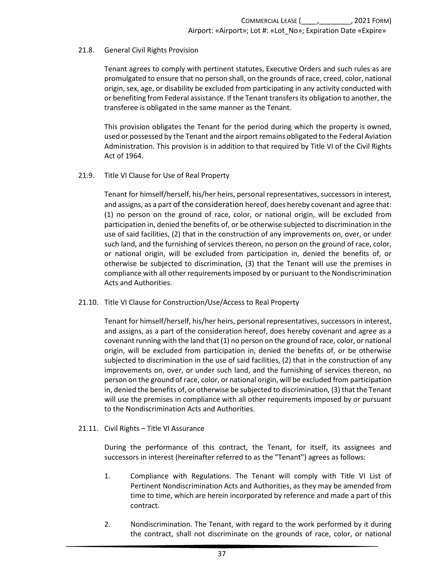### <span id="page-40-0"></span>21.8. General Civil Rights Provision

Tenant agrees to comply with pertinent statutes, Executive Orders and such rules as are promulgated to ensure that no person shall, on the grounds of race, creed, color, national origin, sex, age, or disability be excluded from participating in any activity conducted with or benefiting from Federal assistance. If the Tenant transfers its obligation to another, the transferee is obligated in the same manner as the Tenant.

This provision obligates the Tenant for the period during which the property is owned, used or possessed by the Tenant and the airport remains obligated to the Federal Aviation Administration. This provision is in addition to that required by Title VI of the Civil Rights Act of 1964.

#### <span id="page-40-1"></span>21.9. Title VI Clause for Use of Real Property

Tenant for himself/herself, his/her heirs, personal representatives, successors in interest, and assigns, as a part of the consideration hereof, does hereby covenant and agree that: (1) no person on the ground of race, color, or national origin, will be excluded from participation in, denied the benefits of, or be otherwise subjected to discrimination in the use of said facilities, (2) that in the construction of any improvements on, over, or under such land, and the furnishing of services thereon, no person on the ground of race, color, or national origin, will be excluded from participation in, denied the benefits of, or otherwise be subjected to discrimination, (3) that the Tenant will use the premises in compliance with all other requirements imposed by or pursuant to the Nondiscrimination Acts and Authorities.

#### <span id="page-40-2"></span>21.10. Title VI Clause for Construction/Use/Access to Real Property

Tenant for himself/herself, his/her heirs, personal representatives, successors in interest, and assigns, as a part of the consideration hereof, does hereby covenant and agree as a covenant running with the land that (1) no person on the ground of race, color, or national origin, will be excluded from participation in, denied the benefits of, or be otherwise subjected to discrimination in the use of said facilities, (2) that in the construction of any improvements on, over, or under such land, and the furnishing of services thereon, no person on the ground of race, color, or national origin, will be excluded from participation in, denied the benefits of, or otherwise be subjected to discrimination, (3) that the Tenant will use the premises in compliance with all other requirements imposed by or pursuant to the Nondiscrimination Acts and Authorities.

#### <span id="page-40-3"></span>21.11. Civil Rights – Title VI Assurance

During the performance of this contract, the Tenant, for itself, its assignees and successors in interest (hereinafter referred to as the "Tenant") agrees as follows:

- 1. Compliance with Regulations. The Tenant will comply with Title VI List of Pertinent Nondiscrimination Acts and Authorities, as they may be amended from time to time, which are herein incorporated by reference and made a part of this contract.
- 2. Nondiscrimination. The Tenant, with regard to the work performed by it during the contract, shall not discriminate on the grounds of race, color, or national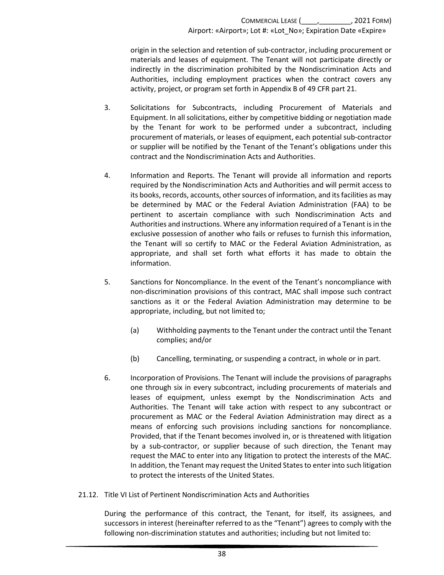origin in the selection and retention of sub-contractor, including procurement or materials and leases of equipment. The Tenant will not participate directly or indirectly in the discrimination prohibited by the Nondiscrimination Acts and Authorities, including employment practices when the contract covers any activity, project, or program set forth in Appendix B of 49 CFR part 21.

- 3. Solicitations for Subcontracts, including Procurement of Materials and Equipment. In all solicitations, either by competitive bidding or negotiation made by the Tenant for work to be performed under a subcontract, including procurement of materials, or leases of equipment, each potential sub-contractor or supplier will be notified by the Tenant of the Tenant's obligations under this contract and the Nondiscrimination Acts and Authorities.
- 4. Information and Reports. The Tenant will provide all information and reports required by the Nondiscrimination Acts and Authorities and will permit access to its books, records, accounts, other sources of information, and its facilities as may be determined by MAC or the Federal Aviation Administration (FAA) to be pertinent to ascertain compliance with such Nondiscrimination Acts and Authorities and instructions. Where any information required of a Tenant is in the exclusive possession of another who fails or refuses to furnish this information, the Tenant will so certify to MAC or the Federal Aviation Administration, as appropriate, and shall set forth what efforts it has made to obtain the information.
- 5. Sanctions for Noncompliance. In the event of the Tenant's noncompliance with non-discrimination provisions of this contract, MAC shall impose such contract sanctions as it or the Federal Aviation Administration may determine to be appropriate, including, but not limited to;
	- (a) Withholding payments to the Tenant under the contract until the Tenant complies; and/or
	- (b) Cancelling, terminating, or suspending a contract, in whole or in part.
- 6. Incorporation of Provisions. The Tenant will include the provisions of paragraphs one through six in every subcontract, including procurements of materials and leases of equipment, unless exempt by the Nondiscrimination Acts and Authorities. The Tenant will take action with respect to any subcontract or procurement as MAC or the Federal Aviation Administration may direct as a means of enforcing such provisions including sanctions for noncompliance. Provided, that if the Tenant becomes involved in, or is threatened with litigation by a sub-contractor, or supplier because of such direction, the Tenant may request the MAC to enter into any litigation to protect the interests of the MAC. In addition, the Tenant may request the United States to enter into such litigation to protect the interests of the United States.
- <span id="page-41-0"></span>21.12. Title VI List of Pertinent Nondiscrimination Acts and Authorities

During the performance of this contract, the Tenant, for itself, its assignees, and successors in interest (hereinafter referred to as the "Tenant") agrees to comply with the following non-discrimination statutes and authorities; including but not limited to: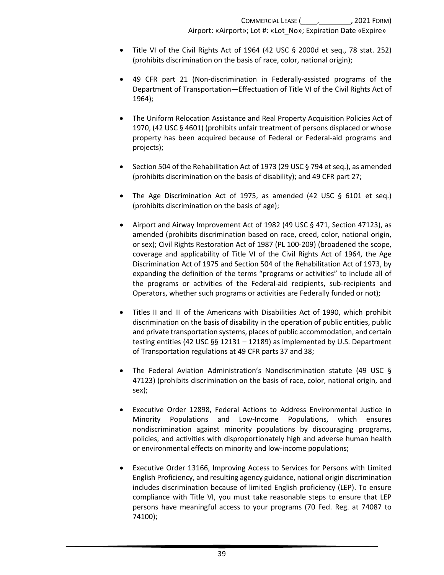- Title VI of the Civil Rights Act of 1964 (42 USC § 2000d et seq., 78 stat. 252) (prohibits discrimination on the basis of race, color, national origin);
- 49 CFR part 21 (Non-discrimination in Federally-assisted programs of the Department of Transportation—Effectuation of Title VI of the Civil Rights Act of 1964);
- The Uniform Relocation Assistance and Real Property Acquisition Policies Act of 1970, (42 USC § 4601) (prohibits unfair treatment of persons displaced or whose property has been acquired because of Federal or Federal-aid programs and projects);
- Section 504 of the Rehabilitation Act of 1973 (29 USC § 794 et seq.), as amended (prohibits discrimination on the basis of disability); and 49 CFR part 27;
- The Age Discrimination Act of 1975, as amended (42 USC § 6101 et seq.) (prohibits discrimination on the basis of age);
- Airport and Airway Improvement Act of 1982 (49 USC § 471, Section 47123), as amended (prohibits discrimination based on race, creed, color, national origin, or sex); Civil Rights Restoration Act of 1987 (PL 100-209) (broadened the scope, coverage and applicability of Title VI of the Civil Rights Act of 1964, the Age Discrimination Act of 1975 and Section 504 of the Rehabilitation Act of 1973, by expanding the definition of the terms "programs or activities" to include all of the programs or activities of the Federal-aid recipients, sub-recipients and Operators, whether such programs or activities are Federally funded or not);
- Titles II and III of the Americans with Disabilities Act of 1990, which prohibit discrimination on the basis of disability in the operation of public entities, public and private transportation systems, places of public accommodation, and certain testing entities (42 USC §§ 12131 – 12189) as implemented by U.S. Department of Transportation regulations at 49 CFR parts 37 and 38;
- The Federal Aviation Administration's Nondiscrimination statute (49 USC § 47123) (prohibits discrimination on the basis of race, color, national origin, and sex);
- Executive Order 12898, Federal Actions to Address Environmental Justice in Minority Populations and Low-Income Populations, which ensures nondiscrimination against minority populations by discouraging programs, policies, and activities with disproportionately high and adverse human health or environmental effects on minority and low-income populations;
- Executive Order 13166, Improving Access to Services for Persons with Limited English Proficiency, and resulting agency guidance, national origin discrimination includes discrimination because of limited English proficiency (LEP). To ensure compliance with Title VI, you must take reasonable steps to ensure that LEP persons have meaningful access to your programs (70 Fed. Reg. at 74087 to 74100);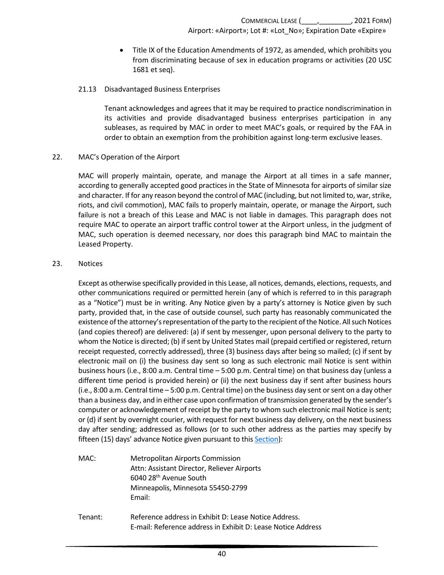• Title IX of the Education Amendments of 1972, as amended, which prohibits you from discriminating because of sex in education programs or activities (20 USC 1681 et seq).

### 21.13 Disadvantaged Business Enterprises

Tenant acknowledges and agrees that it may be required to practice nondiscrimination in its activities and provide disadvantaged business enterprises participation in any subleases, as required by MAC in order to meet MAC's goals, or required by the FAA in order to obtain an exemption from the prohibition against long-term exclusive leases.

### <span id="page-43-0"></span>22. MAC's Operation of the Airport

MAC will properly maintain, operate, and manage the Airport at all times in a safe manner, according to generally accepted good practices in the State of Minnesota for airports of similar size and character. If for any reason beyond the control of MAC (including, but not limited to, war, strike, riots, and civil commotion), MAC fails to properly maintain, operate, or manage the Airport, such failure is not a breach of this Lease and MAC is not liable in damages. This paragraph does not require MAC to operate an airport traffic control tower at the Airport unless, in the judgment of MAC, such operation is deemed necessary, nor does this paragraph bind MAC to maintain the Leased Property.

### <span id="page-43-1"></span>23. Notices

Except as otherwise specifically provided in this Lease, all notices, demands, elections, requests, and other communications required or permitted herein (any of which is referred to in this paragraph as a "Notice") must be in writing. Any Notice given by a party's attorney is Notice given by such party, provided that, in the case of outside counsel, such party has reasonably communicated the existence of the attorney's representation of the party to the recipient of the Notice. All such Notices (and copies thereof) are delivered: (a) if sent by messenger, upon personal delivery to the party to whom the Notice is directed; (b) if sent by United States mail (prepaid certified or registered, return receipt requested, correctly addressed), three (3) business days after being so mailed; (c) if sent by electronic mail on (i) the business day sent so long as such electronic mail Notice is sent within business hours (i.e., 8:00 a.m. Central time – 5:00 p.m. Central time) on that business day (unless a different time period is provided herein) or (ii) the next business day if sent after business hours (i.e., 8:00 a.m. Central time – 5:00 p.m. Central time) on the business day sent or sent on a day other than a business day, and in either case upon confirmation of transmission generated by the sender's computer or acknowledgement of receipt by the party to whom such electronic mail Notice is sent; or (d) if sent by overnight courier, with request for next business day delivery, on the next business day after sending; addressed as follows (or to such other address as the parties may specify by fifteen (15) days' advance Notice given pursuant to thi[s Section\)](#page-43-1):

- MAC: Metropolitan Airports Commission Attn: Assistant Director, Reliever Airports 6040 28th Avenue South Minneapolis, Minnesota 55450-2799 Email:
- Tenant: Reference address in Exhibit D: Lease Notice Address. E-mail: Reference address in Exhibit D: Lease Notice Address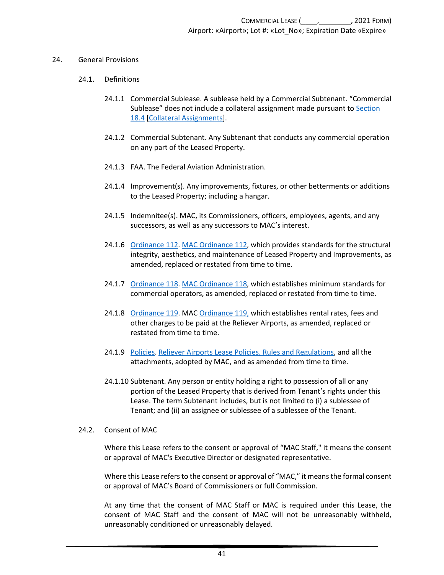#### <span id="page-44-1"></span><span id="page-44-0"></span>24. General Provisions

#### 24.1. Definitions

- 24.1.1 Commercial Sublease. A sublease held by a Commercial Subtenant. "Commercial Sublease" does not include a collateral assignment made pursuant to [Section](#page-31-0)  [18.4 \[Collateral Assignments\]](#page-31-0).
- 24.1.2 Commercial Subtenant. Any Subtenant that conducts any commercial operation on any part of the Leased Property.
- 24.1.3 FAA. The Federal Aviation Administration.
- 24.1.4 Improvement(s). Any improvements, fixtures, or other betterments or additions to the Leased Property; including a hangar.
- 24.1.5 Indemnitee(s). MAC, its Commissioners, officers, employees, agents, and any successors, as well as any successors to MAC's interest.
- 24.1.6 [Ordinance 112. MAC Ordinance 112,](https://metroairports.org/documents/ordinances/ordinance-112) which provides standards for the structural integrity, aesthetics, and maintenance of Leased Property and Improvements, as amended, replaced or restated from time to time.
- 24.1.7 [Ordinance 118. MAC Ordinance 118,](https://metroairports.org/sites/default/files/2021-06/Ordinance-118.pdf) which establishes minimum standards for commercial operators, as amended, replaced or restated from time to time.
- <span id="page-44-3"></span>24.1.8 [Ordinance 119.](https://metroairports.org/documents/ordinances/ordinance-119) MAC [Ordinance 119,](https://metroairports.org/documents/ordinances/ordinance-119) which establishes rental rates, fees and other charges to be paid at the Reliever Airports, as amended, replaced or restated from time to time.
- 24.1.9 [Policies.](https://metroairports.org/our-airports/airport-administration) [Reliever Airports Lease Policies, Rules and Regulations,](https://metroairports.org/our-airports/airport-administration) and all the attachments, adopted by MAC, and as amended from time to time.
- 24.1.10 Subtenant. Any person or entity holding a right to possession of all or any portion of the Leased Property that is derived from Tenant's rights under this Lease. The term Subtenant includes, but is not limited to (i) a sublessee of Tenant; and (ii) an assignee or sublessee of a sublessee of the Tenant.

#### <span id="page-44-2"></span>24.2. Consent of MAC

Where this Lease refers to the consent or approval of "MAC Staff," it means the consent or approval of MAC's Executive Director or designated representative.

Where this Lease refers to the consent or approval of "MAC," it means the formal consent or approval of MAC's Board of Commissioners or full Commission.

At any time that the consent of MAC Staff or MAC is required under this Lease, the consent of MAC Staff and the consent of MAC will not be unreasonably withheld, unreasonably conditioned or unreasonably delayed.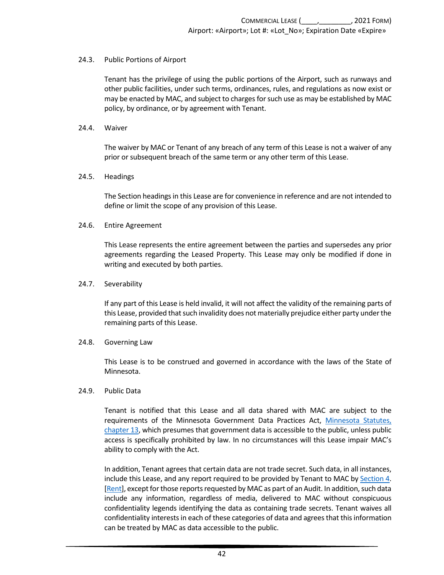#### <span id="page-45-0"></span>24.3. Public Portions of Airport

Tenant has the privilege of using the public portions of the Airport, such as runways and other public facilities, under such terms, ordinances, rules, and regulations as now exist or may be enacted by MAC, and subject to charges for such use as may be established by MAC policy, by ordinance, or by agreement with Tenant.

#### <span id="page-45-1"></span>24.4. Waiver

The waiver by MAC or Tenant of any breach of any term of this Lease is not a waiver of any prior or subsequent breach of the same term or any other term of this Lease.

#### <span id="page-45-2"></span>24.5. Headings

The Section headings in this Lease are for convenience in reference and are not intended to define or limit the scope of any provision of this Lease.

#### <span id="page-45-3"></span>24.6. Entire Agreement

This Lease represents the entire agreement between the parties and supersedes any prior agreements regarding the Leased Property. This Lease may only be modified if done in writing and executed by both parties.

#### <span id="page-45-4"></span>24.7. Severability

If any part of this Lease is held invalid, it will not affect the validity of the remaining parts of this Lease, provided that such invalidity does not materially prejudice either party under the remaining parts of this Lease.

#### <span id="page-45-5"></span>24.8. Governing Law

This Lease is to be construed and governed in accordance with the laws of the State of Minnesota.

#### <span id="page-45-6"></span>24.9. Public Data

Tenant is notified that this Lease and all data shared with MAC are subject to the requirements of the Minnesota Government Data Practices Act, [Minnesota Statutes,](https://www.revisor.mn.gov/statutes/cite/13)  [chapter 13,](https://www.revisor.mn.gov/statutes/cite/13) which presumes that government data is accessible to the public, unless public access is specifically prohibited by law. In no circumstances will this Lease impair MAC's ability to comply with the Act.

In addition, Tenant agrees that certain data are not trade secret. Such data, in all instances, include this Lease, and any report required to be provided by Tenant to MAC by [Section 4.](#page-7-2)  [\[Rent\]](#page-7-2), except for those reports requested by MAC as part of an Audit. In addition, such data include any information, regardless of media, delivered to MAC without conspicuous confidentiality legends identifying the data as containing trade secrets. Tenant waives all confidentiality interests in each of these categories of data and agrees that this information can be treated by MAC as data accessible to the public.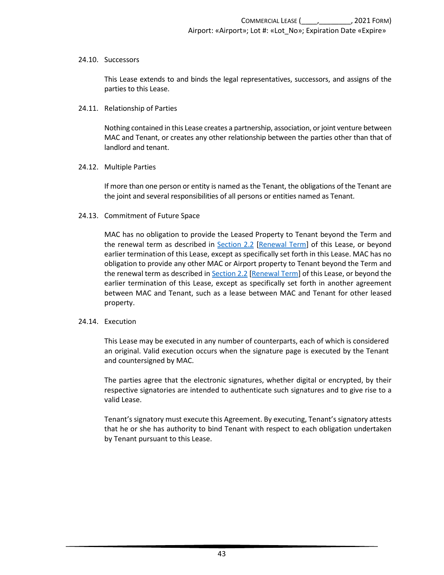#### <span id="page-46-0"></span>24.10. Successors

This Lease extends to and binds the legal representatives, successors, and assigns of the parties to this Lease.

#### <span id="page-46-1"></span>24.11. Relationship of Parties

Nothing contained in this Lease creates a partnership, association, or joint venture between MAC and Tenant, or creates any other relationship between the parties other than that of landlord and tenant.

#### <span id="page-46-2"></span>24.12. Multiple Parties

If more than one person or entity is named as the Tenant, the obligations of the Tenant are the joint and several responsibilities of all persons or entities named as Tenant.

#### <span id="page-46-3"></span>24.13. Commitment of Future Space

MAC has no obligation to provide the Leased Property to Tenant beyond the Term and the renewal term as described in [Section 2.2 \[Renewal Term\]](#page-5-2) of this Lease, or beyond earlier termination of this Lease, except as specifically set forth in this Lease. MAC has no obligation to provide any other MAC or Airport property to Tenant beyond the Term and the renewal term as described i[n Section 2.2 \[Renewal Term\]](#page-5-2) of this Lease, or beyond the earlier termination of this Lease, except as specifically set forth in another agreement between MAC and Tenant, such as a lease between MAC and Tenant for other leased property.

#### <span id="page-46-4"></span>24.14. Execution

This Lease may be executed in any number of counterparts, each of which is considered an original. Valid execution occurs when the signature page is executed by the Tenant and countersigned by MAC.

The parties agree that the electronic signatures, whether digital or encrypted, by their respective signatories are intended to authenticate such signatures and to give rise to a valid Lease.

Tenant's signatory must execute this Agreement. By executing, Tenant's signatory attests that he or she has authority to bind Tenant with respect to each obligation undertaken by Tenant pursuant to this Lease.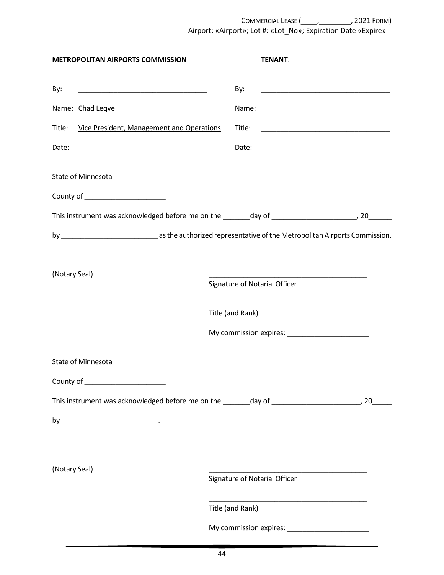COMMERCIAL LEASE (\_\_\_\_,\_\_\_\_\_\_\_\_, 2021 FORM) Airport: «Airport»; Lot #: «Lot\_No»; Expiration Date «Expire»

|               | <b>METROPOLITAN AIRPORTS COMMISSION</b>                                                                                |                  | <b>TENANT:</b>                                                             |    |
|---------------|------------------------------------------------------------------------------------------------------------------------|------------------|----------------------------------------------------------------------------|----|
| By:           | <u> 1989 - Johann Harry Harry Harry Harry Harry Harry Harry Harry Harry Harry Harry Harry Harry Harry Harry Harry</u>  | By:              |                                                                            |    |
|               | Name: Chad Leqve                                                                                                       |                  |                                                                            |    |
|               | Title: Vice President, Management and Operations                                                                       | Title:           |                                                                            |    |
| Date:         | <u> 1989 - Johann John Harry Harry Harry Harry Harry Harry Harry Harry Harry Harry Harry Harry Harry Harry Harry H</u> | Date:            |                                                                            |    |
|               | <b>State of Minnesota</b>                                                                                              |                  |                                                                            |    |
|               | County of ________________________                                                                                     |                  |                                                                            |    |
|               |                                                                                                                        |                  |                                                                            |    |
|               |                                                                                                                        |                  |                                                                            |    |
|               |                                                                                                                        |                  |                                                                            |    |
| (Notary Seal) |                                                                                                                        |                  | Signature of Notarial Officer                                              |    |
|               |                                                                                                                        |                  | the control of the control of the control of the control of the control of |    |
|               |                                                                                                                        | Title (and Rank) |                                                                            |    |
|               |                                                                                                                        |                  |                                                                            |    |
|               | State of Minnesota                                                                                                     |                  |                                                                            |    |
|               | County of ________________________                                                                                     |                  |                                                                            |    |
|               |                                                                                                                        |                  |                                                                            | 20 |
|               |                                                                                                                        |                  |                                                                            |    |
|               |                                                                                                                        |                  |                                                                            |    |
|               |                                                                                                                        |                  |                                                                            |    |
| (Notary Seal) |                                                                                                                        |                  | Signature of Notarial Officer                                              |    |
|               |                                                                                                                        |                  |                                                                            |    |
|               |                                                                                                                        | Title (and Rank) |                                                                            |    |
|               |                                                                                                                        |                  |                                                                            |    |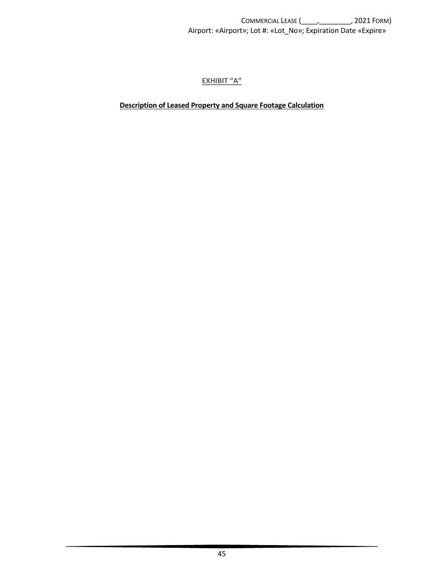COMMERCIAL LEASE (\_\_\_\_,\_\_\_\_\_\_\_\_, 2021 FORM) Airport: «Airport»; Lot #: «Lot\_No»; Expiration Date «Expire»

**EXHIBIT "A"**

<span id="page-48-0"></span>**Description of Leased Property and Square Footage Calculation**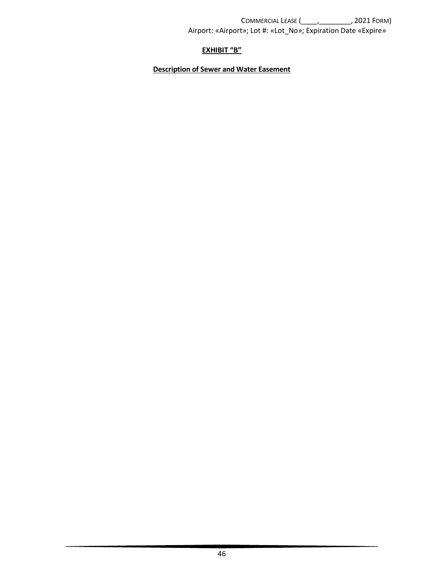# **EXHIBIT "B"**

# <span id="page-49-0"></span>**Description of Sewer and Water Easement**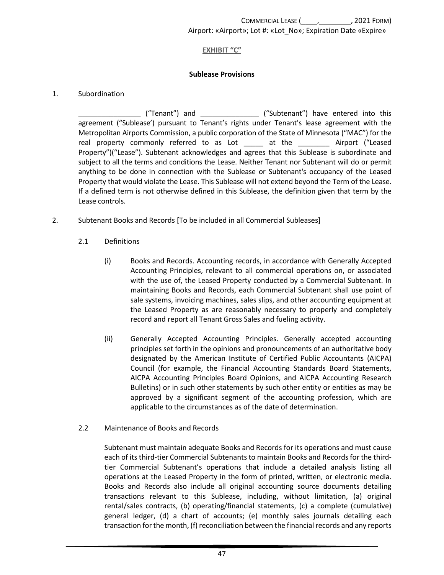## **EXHIBIT "C"**

### **Sublease Provisions**

### <span id="page-50-0"></span>1. Subordination

\_\_\_\_\_\_\_\_\_\_\_\_\_\_\_\_ ("Tenant") and \_\_\_\_\_\_\_\_\_\_\_\_\_\_\_ ("Subtenant") have entered into this agreement ("Sublease') pursuant to Tenant's rights under Tenant's lease agreement with the Metropolitan Airports Commission, a public corporation of the State of Minnesota ("MAC") for the real property commonly referred to as Lot \_\_\_\_\_ at the \_\_\_\_\_\_\_\_ Airport ("Leased Property")("Lease"). Subtenant acknowledges and agrees that this Sublease is subordinate and subject to all the terms and conditions the Lease. Neither Tenant nor Subtenant will do or permit anything to be done in connection with the Sublease or Subtenant's occupancy of the Leased Property that would violate the Lease. This Sublease will not extend beyond the Term of the Lease. If a defined term is not otherwise defined in this Sublease, the definition given that term by the Lease controls.

- 2. Subtenant Books and Records [To be included in all Commercial Subleases]
	- 2.1 Definitions
		- (i) Books and Records. Accounting records, in accordance with Generally Accepted Accounting Principles, relevant to all commercial operations on, or associated with the use of, the Leased Property conducted by a Commercial Subtenant. In maintaining Books and Records, each Commercial Subtenant shall use point of sale systems, invoicing machines, sales slips, and other accounting equipment at the Leased Property as are reasonably necessary to properly and completely record and report all Tenant Gross Sales and fueling activity.
		- (ii) Generally Accepted Accounting Principles. Generally accepted accounting principles set forth in the opinions and pronouncements of an authoritative body designated by the American Institute of Certified Public Accountants (AICPA) Council (for example, the Financial Accounting Standards Board Statements, AICPA Accounting Principles Board Opinions, and AICPA Accounting Research Bulletins) or in such other statements by such other entity or entities as may be approved by a significant segment of the accounting profession, which are applicable to the circumstances as of the date of determination.
	- 2.2 Maintenance of Books and Records

Subtenant must maintain adequate Books and Records for its operations and must cause each of its third-tier Commercial Subtenants to maintain Books and Records for the thirdtier Commercial Subtenant's operations that include a detailed analysis listing all operations at the Leased Property in the form of printed, written, or electronic media. Books and Records also include all original accounting source documents detailing transactions relevant to this Sublease, including, without limitation, (a) original rental/sales contracts, (b) operating/financial statements, (c) a complete (cumulative) general ledger, (d) a chart of accounts; (e) monthly sales journals detailing each transaction for the month, (f) reconciliation between the financial records and any reports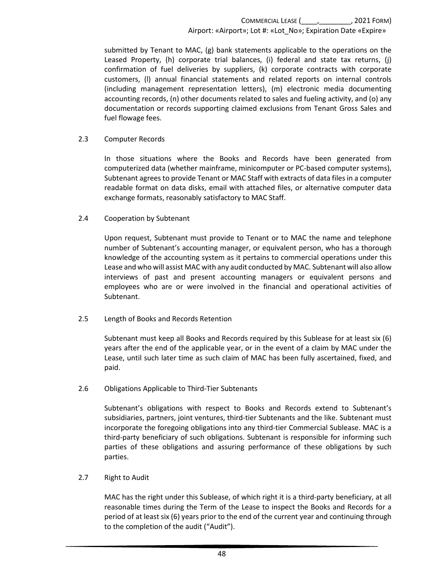submitted by Tenant to MAC, (g) bank statements applicable to the operations on the Leased Property, (h) corporate trial balances, (i) federal and state tax returns, (j) confirmation of fuel deliveries by suppliers, (k) corporate contracts with corporate customers, (l) annual financial statements and related reports on internal controls (including management representation letters), (m) electronic media documenting accounting records, (n) other documents related to sales and fueling activity, and (o) any documentation or records supporting claimed exclusions from Tenant Gross Sales and fuel flowage fees.

#### 2.3 Computer Records

In those situations where the Books and Records have been generated from computerized data (whether mainframe, minicomputer or PC-based computer systems), Subtenant agrees to provide Tenant or MAC Staff with extracts of data files in a computer readable format on data disks, email with attached files, or alternative computer data exchange formats, reasonably satisfactory to MAC Staff.

### 2.4 Cooperation by Subtenant

Upon request, Subtenant must provide to Tenant or to MAC the name and telephone number of Subtenant's accounting manager, or equivalent person, who has a thorough knowledge of the accounting system as it pertains to commercial operations under this Lease and who will assist MAC with any audit conducted by MAC. Subtenant will also allow interviews of past and present accounting managers or equivalent persons and employees who are or were involved in the financial and operational activities of Subtenant.

### 2.5 Length of Books and Records Retention

Subtenant must keep all Books and Records required by this Sublease for at least six (6) years after the end of the applicable year, or in the event of a claim by MAC under the Lease, until such later time as such claim of MAC has been fully ascertained, fixed, and paid.

### 2.6 Obligations Applicable to Third-Tier Subtenants

Subtenant's obligations with respect to Books and Records extend to Subtenant's subsidiaries, partners, joint ventures, third-tier Subtenants and the like. Subtenant must incorporate the foregoing obligations into any third-tier Commercial Sublease. MAC is a third-party beneficiary of such obligations. Subtenant is responsible for informing such parties of these obligations and assuring performance of these obligations by such parties.

#### 2.7 Right to Audit

MAC has the right under this Sublease, of which right it is a third-party beneficiary, at all reasonable times during the Term of the Lease to inspect the Books and Records for a period of at least six (6) years prior to the end of the current year and continuing through to the completion of the audit ("Audit").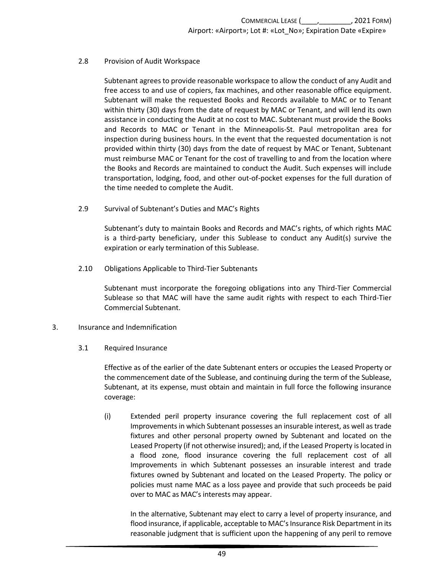#### 2.8 Provision of Audit Workspace

Subtenant agrees to provide reasonable workspace to allow the conduct of any Audit and free access to and use of copiers, fax machines, and other reasonable office equipment. Subtenant will make the requested Books and Records available to MAC or to Tenant within thirty (30) days from the date of request by MAC or Tenant, and will lend its own assistance in conducting the Audit at no cost to MAC. Subtenant must provide the Books and Records to MAC or Tenant in the Minneapolis-St. Paul metropolitan area for inspection during business hours. In the event that the requested documentation is not provided within thirty (30) days from the date of request by MAC or Tenant, Subtenant must reimburse MAC or Tenant for the cost of travelling to and from the location where the Books and Records are maintained to conduct the Audit. Such expenses will include transportation, lodging, food, and other out-of-pocket expenses for the full duration of the time needed to complete the Audit.

2.9 Survival of Subtenant's Duties and MAC's Rights

Subtenant's duty to maintain Books and Records and MAC's rights, of which rights MAC is a third-party beneficiary, under this Sublease to conduct any Audit(s) survive the expiration or early termination of this Sublease.

2.10 Obligations Applicable to Third-Tier Subtenants

Subtenant must incorporate the foregoing obligations into any Third-Tier Commercial Sublease so that MAC will have the same audit rights with respect to each Third-Tier Commercial Subtenant.

- 3. Insurance and Indemnification
	- 3.1 Required Insurance

<span id="page-52-0"></span>Effective as of the earlier of the date Subtenant enters or occupies the Leased Property or the commencement date of the Sublease, and continuing during the term of the Sublease, Subtenant, at its expense, must obtain and maintain in full force the following insurance coverage:

(i) Extended peril property insurance covering the full replacement cost of all Improvements in which Subtenant possesses an insurable interest, as well as trade fixtures and other personal property owned by Subtenant and located on the Leased Property (if not otherwise insured); and, if the Leased Property is located in a flood zone, flood insurance covering the full replacement cost of all Improvements in which Subtenant possesses an insurable interest and trade fixtures owned by Subtenant and located on the Leased Property. The policy or policies must name MAC as a loss payee and provide that such proceeds be paid over to MAC as MAC's interests may appear.

In the alternative, Subtenant may elect to carry a level of property insurance, and flood insurance, if applicable, acceptable to MAC's Insurance Risk Department in its reasonable judgment that is sufficient upon the happening of any peril to remove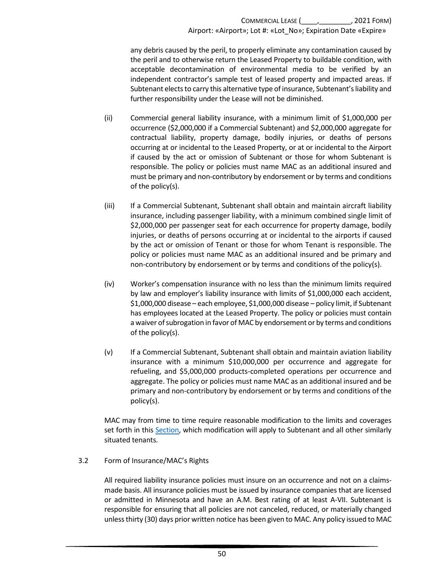any debris caused by the peril, to properly eliminate any contamination caused by the peril and to otherwise return the Leased Property to buildable condition, with acceptable decontamination of environmental media to be verified by an independent contractor's sample test of leased property and impacted areas. If Subtenant elects to carry this alternative type of insurance, Subtenant's liability and further responsibility under the Lease will not be diminished.

- (ii) Commercial general liability insurance, with a minimum limit of \$1,000,000 per occurrence (\$2,000,000 if a Commercial Subtenant) and \$2,000,000 aggregate for contractual liability, property damage, bodily injuries, or deaths of persons occurring at or incidental to the Leased Property, or at or incidental to the Airport if caused by the act or omission of Subtenant or those for whom Subtenant is responsible. The policy or policies must name MAC as an additional insured and must be primary and non-contributory by endorsement or by terms and conditions of the policy(s).
- (iii) If a Commercial Subtenant, Subtenant shall obtain and maintain aircraft liability insurance, including passenger liability, with a minimum combined single limit of \$2,000,000 per passenger seat for each occurrence for property damage, bodily injuries, or deaths of persons occurring at or incidental to the airports if caused by the act or omission of Tenant or those for whom Tenant is responsible. The policy or policies must name MAC as an additional insured and be primary and non-contributory by endorsement or by terms and conditions of the policy(s).
- (iv) Worker's compensation insurance with no less than the minimum limits required by law and employer's liability insurance with limits of \$1,000,000 each accident, \$1,000,000 disease – each employee, \$1,000,000 disease – policy limit, if Subtenant has employees located at the Leased Property. The policy or policies must contain a waiver of subrogation in favor of MAC by endorsement or by terms and conditions of the policy(s).
- (v) If a Commercial Subtenant, Subtenant shall obtain and maintain aviation liability insurance with a minimum \$10,000,000 per occurrence and aggregate for refueling, and \$5,000,000 products-completed operations per occurrence and aggregate. The policy or policies must name MAC as an additional insured and be primary and non-contributory by endorsement or by terms and conditions of the policy(s).

MAC may from time to time require reasonable modification to the limits and coverages set forth in this [Section,](#page-52-0) which modification will apply to Subtenant and all other similarly situated tenants.

### 3.2 Form of Insurance/MAC's Rights

All required liability insurance policies must insure on an occurrence and not on a claimsmade basis. All insurance policies must be issued by insurance companies that are licensed or admitted in Minnesota and have an A.M. Best rating of at least A-VII. Subtenant is responsible for ensuring that all policies are not canceled, reduced, or materially changed unless thirty (30) days prior written notice has been given to MAC. Any policy issued to MAC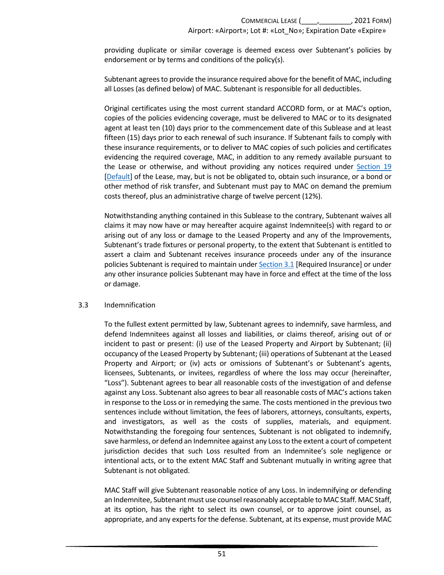providing duplicate or similar coverage is deemed excess over Subtenant's policies by endorsement or by terms and conditions of the policy(s).

Subtenant agrees to provide the insurance required above for the benefit of MAC, including all Losses (as defined below) of MAC. Subtenant is responsible for all deductibles.

Original certificates using the most current standard ACCORD form, or at MAC's option, copies of the policies evidencing coverage, must be delivered to MAC or to its designated agent at least ten (10) days prior to the commencement date of this Sublease and at least fifteen (15) days prior to each renewal of such insurance. If Subtenant fails to comply with these insurance requirements, or to deliver to MAC copies of such policies and certificates evidencing the required coverage, MAC, in addition to any remedy available pursuant to the Lease or otherwise, and without providing any notices required under [Section 19](#page-33-0) [\[Default\]](#page-33-0) of the Lease, may, but is not be obligated to, obtain such insurance, or a bond or other method of risk transfer, and Subtenant must pay to MAC on demand the premium costs thereof, plus an administrative charge of twelve percent (12%).

Notwithstanding anything contained in this Sublease to the contrary, Subtenant waives all claims it may now have or may hereafter acquire against Indemnitee(s) with regard to or arising out of any loss or damage to the Leased Property and any of the Improvements, Subtenant's trade fixtures or personal property, to the extent that Subtenant is entitled to assert a claim and Subtenant receives insurance proceeds under any of the insurance policies Subtenant is required to maintain under [Section 3.1](#page-52-0) [Required Insurance] or under any other insurance policies Subtenant may have in force and effect at the time of the loss or damage.

#### 3.3 Indemnification

<span id="page-54-0"></span>To the fullest extent permitted by law, Subtenant agrees to indemnify, save harmless, and defend Indemnitees against all losses and liabilities, or claims thereof, arising out of or incident to past or present: (i) use of the Leased Property and Airport by Subtenant; (ii) occupancy of the Leased Property by Subtenant; (iii) operations of Subtenant at the Leased Property and Airport; or (iv) acts or omissions of Subtenant's or Subtenant's agents, licensees, Subtenants, or invitees, regardless of where the loss may occur (hereinafter, "Loss"). Subtenant agrees to bear all reasonable costs of the investigation of and defense against any Loss. Subtenant also agrees to bear all reasonable costs of MAC's actions taken in response to the Loss or in remedying the same. The costs mentioned in the previous two sentences include without limitation, the fees of laborers, attorneys, consultants, experts, and investigators, as well as the costs of supplies, materials, and equipment. Notwithstanding the foregoing four sentences, Subtenant is not obligated to indemnify, save harmless, or defend an Indemnitee against any Loss to the extent a court of competent jurisdiction decides that such Loss resulted from an Indemnitee's sole negligence or intentional acts, or to the extent MAC Staff and Subtenant mutually in writing agree that Subtenant is not obligated.

MAC Staff will give Subtenant reasonable notice of any Loss. In indemnifying or defending an Indemnitee, Subtenant must use counsel reasonably acceptable to MAC Staff. MAC Staff, at its option, has the right to select its own counsel, or to approve joint counsel, as appropriate, and any experts for the defense. Subtenant, at its expense, must provide MAC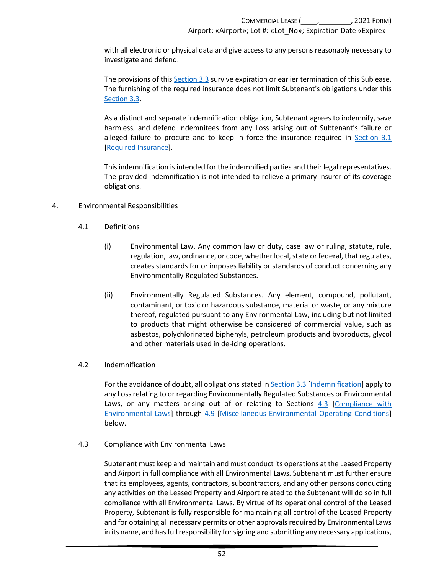with all electronic or physical data and give access to any persons reasonably necessary to investigate and defend.

The provisions of this [Section 3.3](#page-54-0) survive expiration or earlier termination of this Sublease. The furnishing of the required insurance does not limit Subtenant's obligations under this [Section 3.3.](#page-54-0) 

As a distinct and separate indemnification obligation, Subtenant agrees to indemnify, save harmless, and defend Indemnitees from any Loss arising out of Subtenant's failure or alleged failure to procure and to keep in force the insurance required in [Section 3.1](#page-52-0) [\[Required Insurance\]](#page-52-0).

This indemnification is intended for the indemnified parties and their legal representatives. The provided indemnification is not intended to relieve a primary insurer of its coverage obligations.

#### <span id="page-55-1"></span>4. Environmental Responsibilities

- 4.1 Definitions
	- (i) Environmental Law. Any common law or duty, case law or ruling, statute, rule, regulation, law, ordinance, or code, whether local, state or federal, that regulates, creates standards for or imposes liability or standards of conduct concerning any Environmentally Regulated Substances.
	- (ii) Environmentally Regulated Substances. Any element, compound, pollutant, contaminant, or toxic or hazardous substance, material or waste, or any mixture thereof, regulated pursuant to any Environmental Law, including but not limited to products that might otherwise be considered of commercial value, such as asbestos, polychlorinated biphenyls, petroleum products and byproducts, glycol and other materials used in de-icing operations.

#### 4.2 Indemnification

For the avoidance of doubt, all obligations stated in [Section 3.3 \[Indemnification\]](#page-54-0) apply to any Loss relating to or regarding Environmentally Regulated Substances or Environmental Laws, or any matters arising out of or relating to Sections [4.3 \[Compliance with](#page-55-0)  [Environmental Laws\]](#page-55-0) through [4.9 \[Miscellaneous Environmental Operating Conditions\]](#page-58-0) below.

#### 4.3 Compliance with Environmental Laws

<span id="page-55-0"></span>Subtenant must keep and maintain and must conduct its operations at the Leased Property and Airport in full compliance with all Environmental Laws. Subtenant must further ensure that its employees, agents, contractors, subcontractors, and any other persons conducting any activities on the Leased Property and Airport related to the Subtenant will do so in full compliance with all Environmental Laws. By virtue of its operational control of the Leased Property, Subtenant is fully responsible for maintaining all control of the Leased Property and for obtaining all necessary permits or other approvals required by Environmental Laws in its name, and hasfull responsibility for signing and submitting any necessary applications,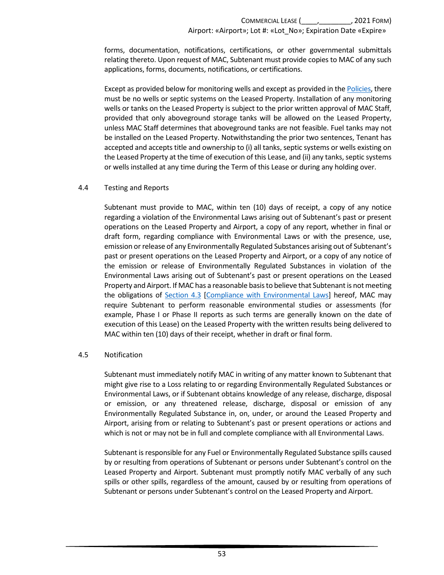forms, documentation, notifications, certifications, or other governmental submittals relating thereto. Upon request of MAC, Subtenant must provide copies to MAC of any such applications, forms, documents, notifications, or certifications.

Except as provided below for monitoring wells and except as provided in th[e Policies,](https://metroairports.org/our-airports/airport-administration) there must be no wells or septic systems on the Leased Property. Installation of any monitoring wells or tanks on the Leased Property is subject to the prior written approval of MAC Staff, provided that only aboveground storage tanks will be allowed on the Leased Property, unless MAC Staff determines that aboveground tanks are not feasible. Fuel tanks may not be installed on the Leased Property. Notwithstanding the prior two sentences, Tenant has accepted and accepts title and ownership to (i) all tanks, septic systems or wells existing on the Leased Property at the time of execution of this Lease, and (ii) any tanks, septic systems or wells installed at any time during the Term of this Lease or during any holding over.

### 4.4 Testing and Reports

Subtenant must provide to MAC, within ten (10) days of receipt, a copy of any notice regarding a violation of the Environmental Laws arising out of Subtenant's past or present operations on the Leased Property and Airport, a copy of any report, whether in final or draft form, regarding compliance with Environmental Laws or with the presence, use, emission or release of any Environmentally Regulated Substances arising out of Subtenant's past or present operations on the Leased Property and Airport, or a copy of any notice of the emission or release of Environmentally Regulated Substances in violation of the Environmental Laws arising out of Subtenant's past or present operations on the Leased Property and Airport. If MAC has a reasonable basis to believe that Subtenantis not meeting the obligations of [Section 4.3 \[Compliance with Environmental Laws\]](#page-55-0) hereof, MAC may require Subtenant to perform reasonable environmental studies or assessments (for example, Phase I or Phase II reports as such terms are generally known on the date of execution of this Lease) on the Leased Property with the written results being delivered to MAC within ten (10) days of their receipt, whether in draft or final form.

#### 4.5 Notification

Subtenant must immediately notify MAC in writing of any matter known to Subtenant that might give rise to a Loss relating to or regarding Environmentally Regulated Substances or Environmental Laws, or if Subtenant obtains knowledge of any release, discharge, disposal or emission, or any threatened release, discharge, disposal or emission of any Environmentally Regulated Substance in, on, under, or around the Leased Property and Airport, arising from or relating to Subtenant's past or present operations or actions and which is not or may not be in full and complete compliance with all Environmental Laws.

Subtenant is responsible for any Fuel or Environmentally Regulated Substance spills caused by or resulting from operations of Subtenant or persons under Subtenant's control on the Leased Property and Airport. Subtenant must promptly notify MAC verbally of any such spills or other spills, regardless of the amount, caused by or resulting from operations of Subtenant or persons under Subtenant's control on the Leased Property and Airport.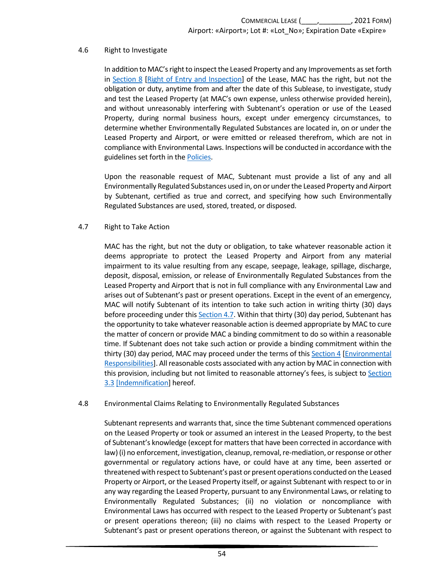#### 4.6 Right to Investigate

In addition to MAC's right to inspect the Leased Property and any Improvements as set forth in [Section 8 \[Right of Entry and Inspection\]](#page-14-2) of the Lease, MAC has the right, but not the obligation or duty, anytime from and after the date of this Sublease, to investigate, study and test the Leased Property (at MAC's own expense, unless otherwise provided herein), and without unreasonably interfering with Subtenant's operation or use of the Leased Property, during normal business hours, except under emergency circumstances, to determine whether Environmentally Regulated Substances are located in, on or under the Leased Property and Airport, or were emitted or released therefrom, which are not in compliance with Environmental Laws. Inspections will be conducted in accordance with the guidelines set forth in the [Policies.](https://metroairports.org/our-airports/airport-administration)

Upon the reasonable request of MAC, Subtenant must provide a list of any and all Environmentally Regulated Substances used in, on or under the Leased Property and Airport by Subtenant, certified as true and correct, and specifying how such Environmentally Regulated Substances are used, stored, treated, or disposed.

#### 4.7 Right to Take Action

<span id="page-57-0"></span>MAC has the right, but not the duty or obligation, to take whatever reasonable action it deems appropriate to protect the Leased Property and Airport from any material impairment to its value resulting from any escape, seepage, leakage, spillage, discharge, deposit, disposal, emission, or release of Environmentally Regulated Substances from the Leased Property and Airport that is not in full compliance with any Environmental Law and arises out of Subtenant's past or present operations. Except in the event of an emergency, MAC will notify Subtenant of its intention to take such action in writing thirty (30) days before proceeding under this [Section 4.7.](#page-57-0) Within that thirty (30) day period, Subtenant has the opportunity to take whatever reasonable action is deemed appropriate by MAC to cure the matter of concern or provide MAC a binding commitment to do so within a reasonable time. If Subtenant does not take such action or provide a binding commitment within the thirty (30) day period, MAC may proceed under the terms of thi[s Section 4 \[Environmental](#page-55-1)  [Responsibilities\]](#page-55-1). All reasonable costs associated with any action by MAC in connection with this provision, including but not limited to reasonable attorney's fees, is subject t[o Section](#page-54-0)  [3.3](#page-54-0) [\[Indemnification\]](#page-54-0) hereof.

#### 4.8 Environmental Claims Relating to Environmentally Regulated Substances

Subtenant represents and warrants that, since the time Subtenant commenced operations on the Leased Property or took or assumed an interest in the Leased Property, to the best of Subtenant's knowledge (except for matters that have been corrected in accordance with law) (i) no enforcement, investigation, cleanup, removal, re-mediation, or response or other governmental or regulatory actions have, or could have at any time, been asserted or threatened with respect to Subtenant's past or present operations conducted on the Leased Property or Airport, or the Leased Property itself, or against Subtenant with respect to or in any way regarding the Leased Property, pursuant to any Environmental Laws, or relating to Environmentally Regulated Substances; (ii) no violation or noncompliance with Environmental Laws has occurred with respect to the Leased Property or Subtenant's past or present operations thereon; (iii) no claims with respect to the Leased Property or Subtenant's past or present operations thereon, or against the Subtenant with respect to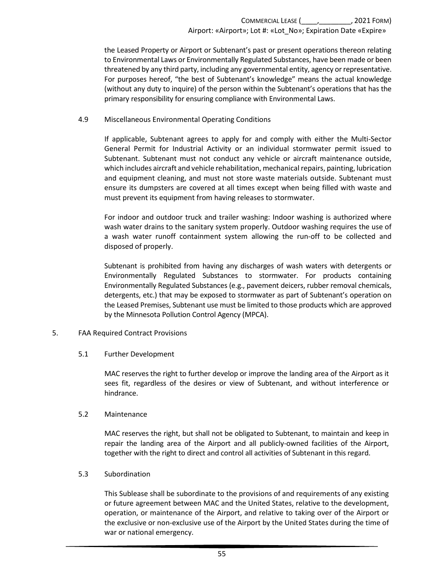the Leased Property or Airport or Subtenant's past or present operations thereon relating to Environmental Laws or Environmentally Regulated Substances, have been made or been threatened by any third party, including any governmental entity, agency or representative. For purposes hereof, "the best of Subtenant's knowledge" means the actual knowledge (without any duty to inquire) of the person within the Subtenant's operations that has the primary responsibility for ensuring compliance with Environmental Laws.

#### 4.9 Miscellaneous Environmental Operating Conditions

<span id="page-58-0"></span>If applicable, Subtenant agrees to apply for and comply with either the Multi-Sector General Permit for Industrial Activity or an individual stormwater permit issued to Subtenant. Subtenant must not conduct any vehicle or aircraft maintenance outside, which includes aircraft and vehicle rehabilitation, mechanical repairs, painting, lubrication and equipment cleaning, and must not store waste materials outside. Subtenant must ensure its dumpsters are covered at all times except when being filled with waste and must prevent its equipment from having releases to stormwater.

For indoor and outdoor truck and trailer washing: Indoor washing is authorized where wash water drains to the sanitary system properly. Outdoor washing requires the use of a wash water runoff containment system allowing the run-off to be collected and disposed of properly.

Subtenant is prohibited from having any discharges of wash waters with detergents or Environmentally Regulated Substances to stormwater. For products containing Environmentally Regulated Substances (e.g., pavement deicers, rubber removal chemicals, detergents, etc.) that may be exposed to stormwater as part of Subtenant's operation on the Leased Premises, Subtenant use must be limited to those products which are approved by the Minnesota Pollution Control Agency (MPCA).

#### 5. FAA Required Contract Provisions

#### 5.1 Further Development

MAC reserves the right to further develop or improve the landing area of the Airport as it sees fit, regardless of the desires or view of Subtenant, and without interference or hindrance.

#### 5.2 Maintenance

MAC reserves the right, but shall not be obligated to Subtenant, to maintain and keep in repair the landing area of the Airport and all publicly-owned facilities of the Airport, together with the right to direct and control all activities of Subtenant in this regard.

#### 5.3 Subordination

This Sublease shall be subordinate to the provisions of and requirements of any existing or future agreement between MAC and the United States, relative to the development, operation, or maintenance of the Airport, and relative to taking over of the Airport or the exclusive or non-exclusive use of the Airport by the United States during the time of war or national emergency.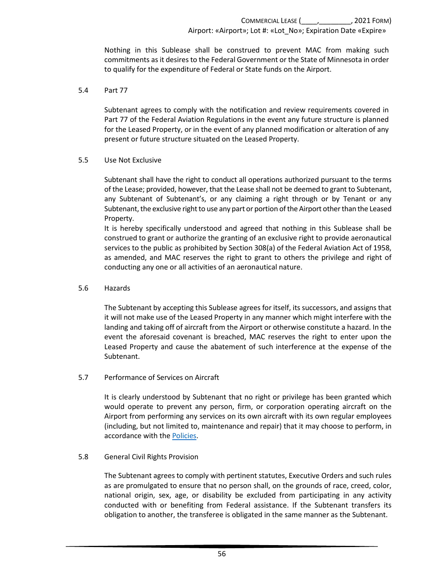Nothing in this Sublease shall be construed to prevent MAC from making such commitments as it desires to the Federal Government or the State of Minnesota in order to qualify for the expenditure of Federal or State funds on the Airport.

#### 5.4 Part 77

Subtenant agrees to comply with the notification and review requirements covered in Part 77 of the Federal Aviation Regulations in the event any future structure is planned for the Leased Property, or in the event of any planned modification or alteration of any present or future structure situated on the Leased Property.

#### 5.5 Use Not Exclusive

Subtenant shall have the right to conduct all operations authorized pursuant to the terms of the Lease; provided, however, that the Lease shall not be deemed to grant to Subtenant, any Subtenant of Subtenant's, or any claiming a right through or by Tenant or any Subtenant, the exclusive right to use any part or portion of the Airport other than the Leased Property.

It is hereby specifically understood and agreed that nothing in this Sublease shall be construed to grant or authorize the granting of an exclusive right to provide aeronautical services to the public as prohibited by Section 308(a) of the Federal Aviation Act of 1958, as amended, and MAC reserves the right to grant to others the privilege and right of conducting any one or all activities of an aeronautical nature.

#### 5.6 Hazards

The Subtenant by accepting this Sublease agrees for itself, its successors, and assigns that it will not make use of the Leased Property in any manner which might interfere with the landing and taking off of aircraft from the Airport or otherwise constitute a hazard. In the event the aforesaid covenant is breached, MAC reserves the right to enter upon the Leased Property and cause the abatement of such interference at the expense of the Subtenant.

#### 5.7 Performance of Services on Aircraft

It is clearly understood by Subtenant that no right or privilege has been granted which would operate to prevent any person, firm, or corporation operating aircraft on the Airport from performing any services on its own aircraft with its own regular employees (including, but not limited to, maintenance and repair) that it may choose to perform, in accordance with the [Policies.](https://metroairports.org/our-airports/airport-administration)

#### 5.8 General Civil Rights Provision

The Subtenant agrees to comply with pertinent statutes, Executive Orders and such rules as are promulgated to ensure that no person shall, on the grounds of race, creed, color, national origin, sex, age, or disability be excluded from participating in any activity conducted with or benefiting from Federal assistance. If the Subtenant transfers its obligation to another, the transferee is obligated in the same manner as the Subtenant.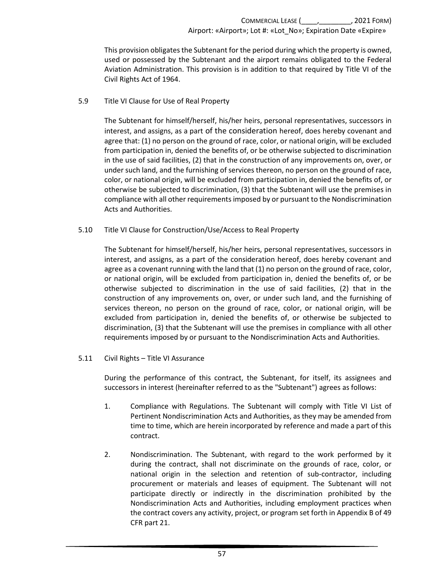This provision obligates the Subtenant for the period during which the property is owned, used or possessed by the Subtenant and the airport remains obligated to the Federal Aviation Administration. This provision is in addition to that required by Title VI of the Civil Rights Act of 1964.

### 5.9 Title VI Clause for Use of Real Property

The Subtenant for himself/herself, his/her heirs, personal representatives, successors in interest, and assigns, as a part of the consideration hereof, does hereby covenant and agree that: (1) no person on the ground of race, color, or national origin, will be excluded from participation in, denied the benefits of, or be otherwise subjected to discrimination in the use of said facilities, (2) that in the construction of any improvements on, over, or under such land, and the furnishing of services thereon, no person on the ground of race, color, or national origin, will be excluded from participation in, denied the benefits of, or otherwise be subjected to discrimination, (3) that the Subtenant will use the premises in compliance with all other requirements imposed by or pursuant to the Nondiscrimination Acts and Authorities.

### 5.10 Title VI Clause for Construction/Use/Access to Real Property

The Subtenant for himself/herself, his/her heirs, personal representatives, successors in interest, and assigns, as a part of the consideration hereof, does hereby covenant and agree as a covenant running with the land that (1) no person on the ground of race, color, or national origin, will be excluded from participation in, denied the benefits of, or be otherwise subjected to discrimination in the use of said facilities, (2) that in the construction of any improvements on, over, or under such land, and the furnishing of services thereon, no person on the ground of race, color, or national origin, will be excluded from participation in, denied the benefits of, or otherwise be subjected to discrimination, (3) that the Subtenant will use the premises in compliance with all other requirements imposed by or pursuant to the Nondiscrimination Acts and Authorities.

### 5.11 Civil Rights – Title VI Assurance

During the performance of this contract, the Subtenant, for itself, its assignees and successors in interest (hereinafter referred to as the "Subtenant") agrees as follows:

- 1. Compliance with Regulations. The Subtenant will comply with Title VI List of Pertinent Nondiscrimination Acts and Authorities, as they may be amended from time to time, which are herein incorporated by reference and made a part of this contract.
- 2. Nondiscrimination. The Subtenant, with regard to the work performed by it during the contract, shall not discriminate on the grounds of race, color, or national origin in the selection and retention of sub-contractor, including procurement or materials and leases of equipment. The Subtenant will not participate directly or indirectly in the discrimination prohibited by the Nondiscrimination Acts and Authorities, including employment practices when the contract covers any activity, project, or program set forth in Appendix B of 49 CFR part 21.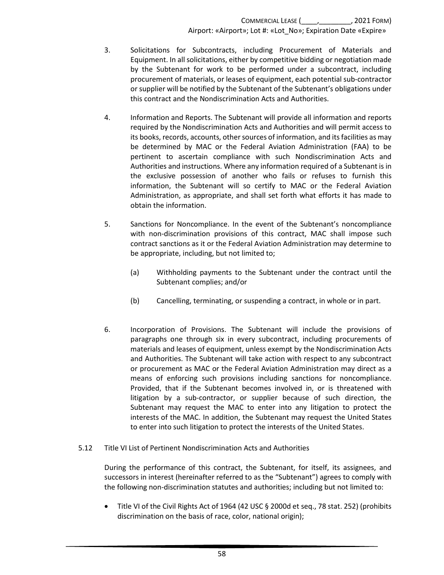- 3. Solicitations for Subcontracts, including Procurement of Materials and Equipment. In all solicitations, either by competitive bidding or negotiation made by the Subtenant for work to be performed under a subcontract, including procurement of materials, or leases of equipment, each potential sub-contractor or supplier will be notified by the Subtenant of the Subtenant's obligations under this contract and the Nondiscrimination Acts and Authorities.
- 4. Information and Reports. The Subtenant will provide all information and reports required by the Nondiscrimination Acts and Authorities and will permit access to its books, records, accounts, other sources of information, and its facilities as may be determined by MAC or the Federal Aviation Administration (FAA) to be pertinent to ascertain compliance with such Nondiscrimination Acts and Authorities and instructions. Where any information required of a Subtenant is in the exclusive possession of another who fails or refuses to furnish this information, the Subtenant will so certify to MAC or the Federal Aviation Administration, as appropriate, and shall set forth what efforts it has made to obtain the information.
- 5. Sanctions for Noncompliance. In the event of the Subtenant's noncompliance with non-discrimination provisions of this contract, MAC shall impose such contract sanctions as it or the Federal Aviation Administration may determine to be appropriate, including, but not limited to;
	- (a) Withholding payments to the Subtenant under the contract until the Subtenant complies; and/or
	- (b) Cancelling, terminating, or suspending a contract, in whole or in part.
- 6. Incorporation of Provisions. The Subtenant will include the provisions of paragraphs one through six in every subcontract, including procurements of materials and leases of equipment, unless exempt by the Nondiscrimination Acts and Authorities. The Subtenant will take action with respect to any subcontract or procurement as MAC or the Federal Aviation Administration may direct as a means of enforcing such provisions including sanctions for noncompliance. Provided, that if the Subtenant becomes involved in, or is threatened with litigation by a sub-contractor, or supplier because of such direction, the Subtenant may request the MAC to enter into any litigation to protect the interests of the MAC. In addition, the Subtenant may request the United States to enter into such litigation to protect the interests of the United States.
- 5.12 Title VI List of Pertinent Nondiscrimination Acts and Authorities

During the performance of this contract, the Subtenant, for itself, its assignees, and successors in interest (hereinafter referred to as the "Subtenant") agrees to comply with the following non-discrimination statutes and authorities; including but not limited to:

• Title VI of the Civil Rights Act of 1964 (42 USC § 2000d et seq., 78 stat. 252) (prohibits discrimination on the basis of race, color, national origin);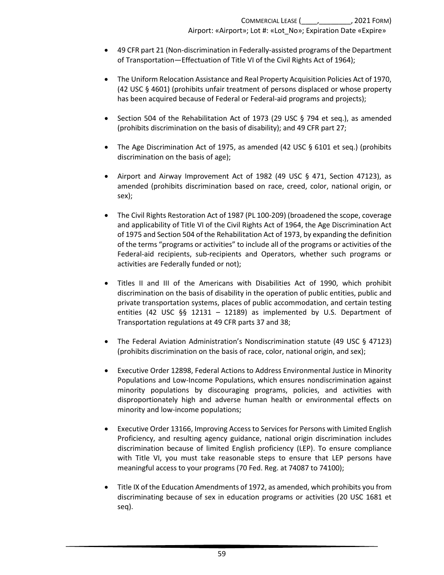- 49 CFR part 21 (Non-discrimination in Federally-assisted programs of the Department of Transportation—Effectuation of Title VI of the Civil Rights Act of 1964);
- The Uniform Relocation Assistance and Real Property Acquisition Policies Act of 1970, (42 USC § 4601) (prohibits unfair treatment of persons displaced or whose property has been acquired because of Federal or Federal-aid programs and projects);
- Section 504 of the Rehabilitation Act of 1973 (29 USC  $\S$  794 et seq.), as amended (prohibits discrimination on the basis of disability); and 49 CFR part 27;
- The Age Discrimination Act of 1975, as amended (42 USC § 6101 et seq.) (prohibits discrimination on the basis of age);
- Airport and Airway Improvement Act of 1982 (49 USC § 471, Section 47123), as amended (prohibits discrimination based on race, creed, color, national origin, or sex);
- The Civil Rights Restoration Act of 1987 (PL 100-209) (broadened the scope, coverage and applicability of Title VI of the Civil Rights Act of 1964, the Age Discrimination Act of 1975 and Section 504 of the Rehabilitation Act of 1973, by expanding the definition of the terms "programs or activities" to include all of the programs or activities of the Federal-aid recipients, sub-recipients and Operators, whether such programs or activities are Federally funded or not);
- Titles II and III of the Americans with Disabilities Act of 1990, which prohibit discrimination on the basis of disability in the operation of public entities, public and private transportation systems, places of public accommodation, and certain testing entities (42 USC §§ 12131 – 12189) as implemented by U.S. Department of Transportation regulations at 49 CFR parts 37 and 38;
- The Federal Aviation Administration's Nondiscrimination statute (49 USC § 47123) (prohibits discrimination on the basis of race, color, national origin, and sex);
- Executive Order 12898, Federal Actions to Address Environmental Justice in Minority Populations and Low-Income Populations, which ensures nondiscrimination against minority populations by discouraging programs, policies, and activities with disproportionately high and adverse human health or environmental effects on minority and low-income populations;
- Executive Order 13166, Improving Access to Services for Persons with Limited English Proficiency, and resulting agency guidance, national origin discrimination includes discrimination because of limited English proficiency (LEP). To ensure compliance with Title VI, you must take reasonable steps to ensure that LEP persons have meaningful access to your programs (70 Fed. Reg. at 74087 to 74100);
- Title IX of the Education Amendments of 1972, as amended, which prohibits you from discriminating because of sex in education programs or activities (20 USC 1681 et seq).